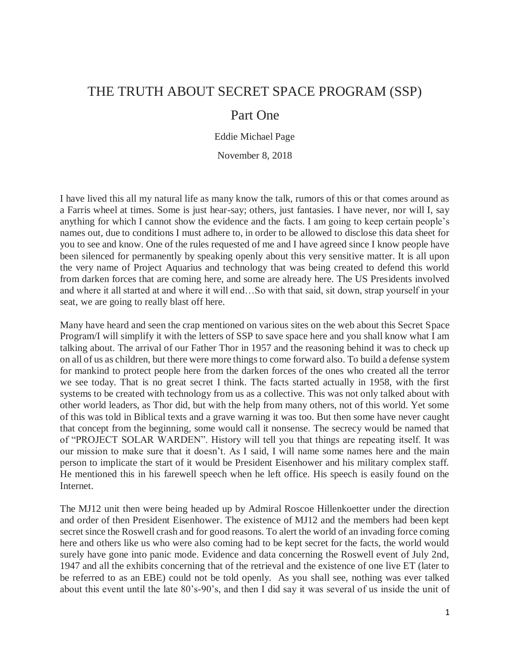## THE TRUTH ABOUT SECRET SPACE PROGRAM (SSP)

### Part One

Eddie Michael Page

November 8, 2018

I have lived this all my natural life as many know the talk, rumors of this or that comes around as a Farris wheel at times. Some is just hear-say; others, just fantasies. I have never, nor will I, say anything for which I cannot show the evidence and the facts. I am going to keep certain people's names out, due to conditions I must adhere to, in order to be allowed to disclose this data sheet for you to see and know. One of the rules requested of me and I have agreed since I know people have been silenced for permanently by speaking openly about this very sensitive matter. It is all upon the very name of Project Aquarius and technology that was being created to defend this world from darken forces that are coming here, and some are already here. The US Presidents involved and where it all started at and where it will end…So with that said, sit down, strap yourself in your seat, we are going to really blast off here.

Many have heard and seen the crap mentioned on various sites on the web about this Secret Space Program/I will simplify it with the letters of SSP to save space here and you shall know what I am talking about. The arrival of our Father Thor in 1957 and the reasoning behind it was to check up on all of us as children, but there were more things to come forward also. To build a defense system for mankind to protect people here from the darken forces of the ones who created all the terror we see today. That is no great secret I think. The facts started actually in 1958, with the first systems to be created with technology from us as a collective. This was not only talked about with other world leaders, as Thor did, but with the help from many others, not of this world. Yet some of this was told in Biblical texts and a grave warning it was too. But then some have never caught that concept from the beginning, some would call it nonsense. The secrecy would be named that of "PROJECT SOLAR WARDEN". History will tell you that things are repeating itself. It was our mission to make sure that it doesn't. As I said, I will name some names here and the main person to implicate the start of it would be President Eisenhower and his military complex staff. He mentioned this in his farewell speech when he left office. His speech is easily found on the Internet.

The MJ12 unit then were being headed up by Admiral Roscoe Hillenkoetter under the direction and order of then President Eisenhower. The existence of MJ12 and the members had been kept secret since the Roswell crash and for good reasons. To alert the world of an invading force coming here and others like us who were also coming had to be kept secret for the facts, the world would surely have gone into panic mode. Evidence and data concerning the Roswell event of July 2nd, 1947 and all the exhibits concerning that of the retrieval and the existence of one live ET (later to be referred to as an EBE) could not be told openly. As you shall see, nothing was ever talked about this event until the late 80's-90's, and then I did say it was several of us inside the unit of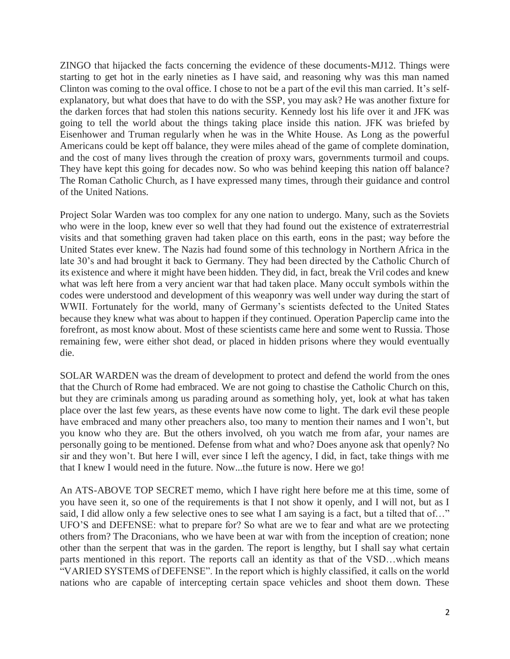ZINGO that hijacked the facts concerning the evidence of these documents-MJ12. Things were starting to get hot in the early nineties as I have said, and reasoning why was this man named Clinton was coming to the oval office. I chose to not be a part of the evil this man carried. It's selfexplanatory, but what does that have to do with the SSP, you may ask? He was another fixture for the darken forces that had stolen this nations security. Kennedy lost his life over it and JFK was going to tell the world about the things taking place inside this nation. JFK was briefed by Eisenhower and Truman regularly when he was in the White House. As Long as the powerful Americans could be kept off balance, they were miles ahead of the game of complete domination, and the cost of many lives through the creation of proxy wars, governments turmoil and coups. They have kept this going for decades now. So who was behind keeping this nation off balance? The Roman Catholic Church, as I have expressed many times, through their guidance and control of the United Nations.

Project Solar Warden was too complex for any one nation to undergo. Many, such as the Soviets who were in the loop, knew ever so well that they had found out the existence of extraterrestrial visits and that something graven had taken place on this earth, eons in the past; way before the United States ever knew. The Nazis had found some of this technology in Northern Africa in the late 30's and had brought it back to Germany. They had been directed by the Catholic Church of its existence and where it might have been hidden. They did, in fact, break the Vril codes and knew what was left here from a very ancient war that had taken place. Many occult symbols within the codes were understood and development of this weaponry was well under way during the start of WWII. Fortunately for the world, many of Germany's scientists defected to the United States because they knew what was about to happen if they continued. Operation Paperclip came into the forefront, as most know about. Most of these scientists came here and some went to Russia. Those remaining few, were either shot dead, or placed in hidden prisons where they would eventually die.

SOLAR WARDEN was the dream of development to protect and defend the world from the ones that the Church of Rome had embraced. We are not going to chastise the Catholic Church on this, but they are criminals among us parading around as something holy, yet, look at what has taken place over the last few years, as these events have now come to light. The dark evil these people have embraced and many other preachers also, too many to mention their names and I won't, but you know who they are. But the others involved, oh you watch me from afar, your names are personally going to be mentioned. Defense from what and who? Does anyone ask that openly? No sir and they won't. But here I will, ever since I left the agency, I did, in fact, take things with me that I knew I would need in the future. Now...the future is now. Here we go!

An ATS-ABOVE TOP SECRET memo, which I have right here before me at this time, some of you have seen it, so one of the requirements is that I not show it openly, and I will not, but as I said, I did allow only a few selective ones to see what I am saying is a fact, but a tilted that of..." UFO'S and DEFENSE: what to prepare for? So what are we to fear and what are we protecting others from? The Draconians, who we have been at war with from the inception of creation; none other than the serpent that was in the garden. The report is lengthy, but I shall say what certain parts mentioned in this report. The reports call an identity as that of the VSD…which means "VARIED SYSTEMS of DEFENSE". In the report which is highly classified, it calls on the world nations who are capable of intercepting certain space vehicles and shoot them down. These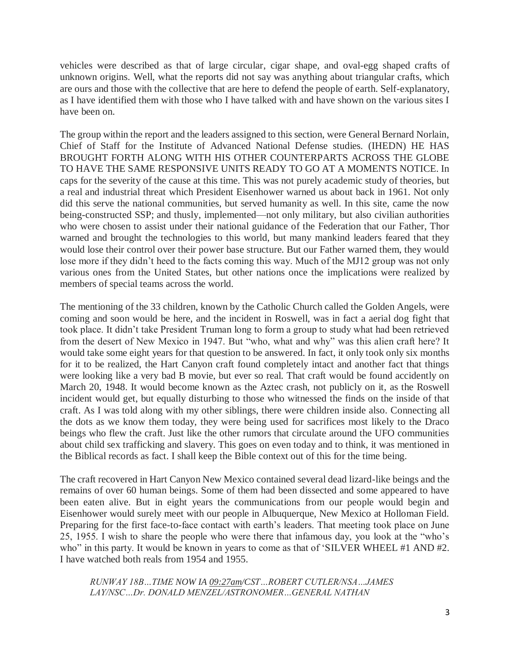vehicles were described as that of large circular, cigar shape, and oval-egg shaped crafts of unknown origins. Well, what the reports did not say was anything about triangular crafts, which are ours and those with the collective that are here to defend the people of earth. Self-explanatory, as I have identified them with those who I have talked with and have shown on the various sites I have been on.

The group within the report and the leaders assigned to this section, were General Bernard Norlain, Chief of Staff for the Institute of Advanced National Defense studies. (IHEDN) HE HAS BROUGHT FORTH ALONG WITH HIS OTHER COUNTERPARTS ACROSS THE GLOBE TO HAVE THE SAME RESPONSIVE UNITS READY TO GO AT A MOMENTS NOTICE. In caps for the severity of the cause at this time. This was not purely academic study of theories, but a real and industrial threat which President Eisenhower warned us about back in 1961. Not only did this serve the national communities, but served humanity as well. In this site, came the now being-constructed SSP; and thusly, implemented—not only military, but also civilian authorities who were chosen to assist under their national guidance of the Federation that our Father, Thor warned and brought the technologies to this world, but many mankind leaders feared that they would lose their control over their power base structure. But our Father warned them, they would lose more if they didn't heed to the facts coming this way. Much of the MJ12 group was not only various ones from the United States, but other nations once the implications were realized by members of special teams across the world.

The mentioning of the 33 children, known by the Catholic Church called the Golden Angels, were coming and soon would be here, and the incident in Roswell, was in fact a aerial dog fight that took place. It didn't take President Truman long to form a group to study what had been retrieved from the desert of New Mexico in 1947. But "who, what and why" was this alien craft here? It would take some eight years for that question to be answered. In fact, it only took only six months for it to be realized, the Hart Canyon craft found completely intact and another fact that things were looking like a very bad B movie, but ever so real. That craft would be found accidently on March 20, 1948. It would become known as the Aztec crash, not publicly on it, as the Roswell incident would get, but equally disturbing to those who witnessed the finds on the inside of that craft. As I was told along with my other siblings, there were children inside also. Connecting all the dots as we know them today, they were being used for sacrifices most likely to the Draco beings who flew the craft. Just like the other rumors that circulate around the UFO communities about child sex trafficking and slavery. This goes on even today and to think, it was mentioned in the Biblical records as fact. I shall keep the Bible context out of this for the time being.

The craft recovered in Hart Canyon New Mexico contained several dead lizard-like beings and the remains of over 60 human beings. Some of them had been dissected and some appeared to have been eaten alive. But in eight years the communications from our people would begin and Eisenhower would surely meet with our people in Albuquerque, New Mexico at Holloman Field. Preparing for the first face-to-face contact with earth's leaders. That meeting took place on June 25, 1955. I wish to share the people who were there that infamous day, you look at the "who's who" in this party. It would be known in years to come as that of 'SILVER WHEEL #1 AND #2. I have watched both reals from 1954 and 1955.

*RUNWAY 18B…TIME NOW IA 09:27am/CST…ROBERT CUTLER/NSA…JAMES LAY/NSC…Dr. DONALD MENZEL/ASTRONOMER…GENERAL NATHAN*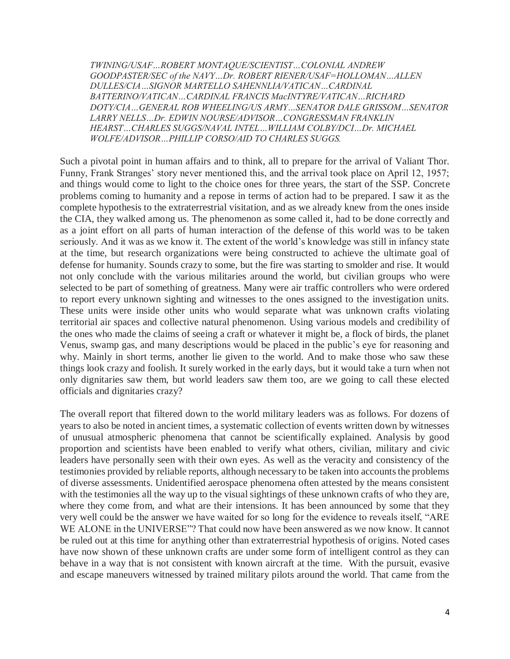*TWINING/USAF…ROBERT MONTAQUE/SCIENTIST…COLONIAL ANDREW GOODPASTER/SEC of the NAVY…Dr. ROBERT RIENER/USAF=HOLLOMAN…ALLEN DULLES/CIA…SIGNOR MARTELLO SAHENNLIA/VATICAN…CARDINAL BATTERINO/VATICAN…CARDINAL FRANCIS MacINTYRE/VATICAN…RICHARD DOTY/CIA…GENERAL ROB WHEELING/US ARMY…SENATOR DALE GRISSOM…SENATOR LARRY NELLS…Dr. EDWIN NOURSE/ADVISOR…CONGRESSMAN FRANKLIN HEARST…CHARLES SUGGS/NAVAL INTEL…WILLIAM COLBY/DCI…Dr. MICHAEL WOLFE/ADVISOR…PHILLIP CORSO/AID TO CHARLES SUGGS.*

Such a pivotal point in human affairs and to think, all to prepare for the arrival of Valiant Thor. Funny, Frank Stranges' story never mentioned this, and the arrival took place on April 12, 1957; and things would come to light to the choice ones for three years, the start of the SSP. Concrete problems coming to humanity and a repose in terms of action had to be prepared. I saw it as the complete hypothesis to the extraterrestrial visitation, and as we already knew from the ones inside the CIA, they walked among us. The phenomenon as some called it, had to be done correctly and as a joint effort on all parts of human interaction of the defense of this world was to be taken seriously. And it was as we know it. The extent of the world's knowledge was still in infancy state at the time, but research organizations were being constructed to achieve the ultimate goal of defense for humanity. Sounds crazy to some, but the fire was starting to smolder and rise. It would not only conclude with the various militaries around the world, but civilian groups who were selected to be part of something of greatness. Many were air traffic controllers who were ordered to report every unknown sighting and witnesses to the ones assigned to the investigation units. These units were inside other units who would separate what was unknown crafts violating territorial air spaces and collective natural phenomenon. Using various models and credibility of the ones who made the claims of seeing a craft or whatever it might be, a flock of birds, the planet Venus, swamp gas, and many descriptions would be placed in the public's eye for reasoning and why. Mainly in short terms, another lie given to the world. And to make those who saw these things look crazy and foolish. It surely worked in the early days, but it would take a turn when not only dignitaries saw them, but world leaders saw them too, are we going to call these elected officials and dignitaries crazy?

The overall report that filtered down to the world military leaders was as follows. For dozens of years to also be noted in ancient times, a systematic collection of events written down by witnesses of unusual atmospheric phenomena that cannot be scientifically explained. Analysis by good proportion and scientists have been enabled to verify what others, civilian, military and civic leaders have personally seen with their own eyes. As well as the veracity and consistency of the testimonies provided by reliable reports, although necessary to be taken into accounts the problems of diverse assessments. Unidentified aerospace phenomena often attested by the means consistent with the testimonies all the way up to the visual sightings of these unknown crafts of who they are, where they come from, and what are their intensions. It has been announced by some that they very well could be the answer we have waited for so long for the evidence to reveals itself, "ARE WE ALONE in the UNIVERSE"? That could now have been answered as we now know. It cannot be ruled out at this time for anything other than extraterrestrial hypothesis of origins. Noted cases have now shown of these unknown crafts are under some form of intelligent control as they can behave in a way that is not consistent with known aircraft at the time. With the pursuit, evasive and escape maneuvers witnessed by trained military pilots around the world. That came from the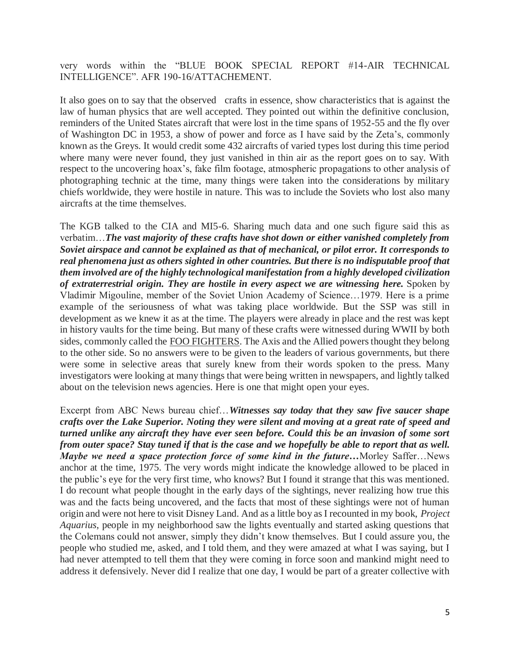very words within the "BLUE BOOK SPECIAL REPORT #14-AIR TECHNICAL INTELLIGENCE". AFR 190-16/ATTACHEMENT.

It also goes on to say that the observed crafts in essence, show characteristics that is against the law of human physics that are well accepted. They pointed out within the definitive conclusion, reminders of the United States aircraft that were lost in the time spans of 1952-55 and the fly over of Washington DC in 1953, a show of power and force as I have said by the Zeta's, commonly known as the Greys. It would credit some 432 aircrafts of varied types lost during this time period where many were never found, they just vanished in thin air as the report goes on to say. With respect to the uncovering hoax's, fake film footage, atmospheric propagations to other analysis of photographing technic at the time, many things were taken into the considerations by military chiefs worldwide, they were hostile in nature. This was to include the Soviets who lost also many aircrafts at the time themselves.

The KGB talked to the CIA and MI5-6. Sharing much data and one such figure said this as verbatim…*The vast majority of these crafts have shot down or either vanished completely from Soviet airspace and cannot be explained as that of mechanical, or pilot error. It corresponds to real phenomena just as others sighted in other countries. But there is no indisputable proof that them involved are of the highly technological manifestation from a highly developed civilization of extraterrestrial origin. They are hostile in every aspect we are witnessing here.* Spoken by Vladimir Migouline, member of the Soviet Union Academy of Science…1979. Here is a prime example of the seriousness of what was taking place worldwide. But the SSP was still in development as we knew it as at the time. The players were already in place and the rest was kept in history vaults for the time being. But many of these crafts were witnessed during WWII by both sides, commonly called the FOO FIGHTERS. The Axis and the Allied powers thought they belong to the other side. So no answers were to be given to the leaders of various governments, but there were some in selective areas that surely knew from their words spoken to the press. Many investigators were looking at many things that were being written in newspapers, and lightly talked about on the television news agencies. Here is one that might open your eyes.

Excerpt from ABC News bureau chief…*Witnesses say today that they saw five saucer shape crafts over the Lake Superior. Noting they were silent and moving at a great rate of speed and turned unlike any aircraft they have ever seen before. Could this be an invasion of some sort from outer space? Stay tuned if that is the case and we hopefully be able to report that as well. Maybe we need a space protection force of some kind in the future…*Morley Saffer…News anchor at the time, 1975. The very words might indicate the knowledge allowed to be placed in the public's eye for the very first time, who knows? But I found it strange that this was mentioned. I do recount what people thought in the early days of the sightings, never realizing how true this was and the facts being uncovered, and the facts that most of these sightings were not of human origin and were not here to visit Disney Land. And as a little boy as I recounted in my book, *Project Aquarius*, people in my neighborhood saw the lights eventually and started asking questions that the Colemans could not answer, simply they didn't know themselves. But I could assure you, the people who studied me, asked, and I told them, and they were amazed at what I was saying, but I had never attempted to tell them that they were coming in force soon and mankind might need to address it defensively. Never did I realize that one day, I would be part of a greater collective with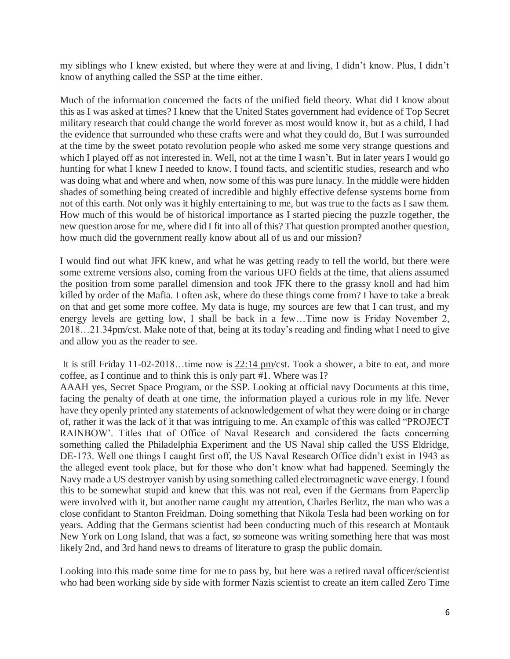my siblings who I knew existed, but where they were at and living, I didn't know. Plus, I didn't know of anything called the SSP at the time either.

Much of the information concerned the facts of the unified field theory. What did I know about this as I was asked at times? I knew that the United States government had evidence of Top Secret military research that could change the world forever as most would know it, but as a child, I had the evidence that surrounded who these crafts were and what they could do, But I was surrounded at the time by the sweet potato revolution people who asked me some very strange questions and which I played off as not interested in. Well, not at the time I wasn't. But in later years I would go hunting for what I knew I needed to know. I found facts, and scientific studies, research and who was doing what and where and when, now some of this was pure lunacy. In the middle were hidden shades of something being created of incredible and highly effective defense systems borne from not of this earth. Not only was it highly entertaining to me, but was true to the facts as I saw them. How much of this would be of historical importance as I started piecing the puzzle together, the new question arose for me, where did I fit into all of this? That question prompted another question, how much did the government really know about all of us and our mission?

I would find out what JFK knew, and what he was getting ready to tell the world, but there were some extreme versions also, coming from the various UFO fields at the time, that aliens assumed the position from some parallel dimension and took JFK there to the grassy knoll and had him killed by order of the Mafia. I often ask, where do these things come from? I have to take a break on that and get some more coffee. My data is huge, my sources are few that I can trust, and my energy levels are getting low, I shall be back in a few…Time now is Friday November 2, 2018…21.34pm/cst. Make note of that, being at its today's reading and finding what I need to give and allow you as the reader to see.

It is still Friday 11-02-2018…time now is 22:14 pm/cst. Took a shower, a bite to eat, and more coffee, as I continue and to think this is only part #1. Where was I?

AAAH yes, Secret Space Program, or the SSP. Looking at official navy Documents at this time, facing the penalty of death at one time, the information played a curious role in my life. Never have they openly printed any statements of acknowledgement of what they were doing or in charge of, rather it was the lack of it that was intriguing to me. An example of this was called "PROJECT RAINBOW'. Titles that of Office of Naval Research and considered the facts concerning something called the Philadelphia Experiment and the US Naval ship called the USS Eldridge, DE-173. Well one things I caught first off, the US Naval Research Office didn't exist in 1943 as the alleged event took place, but for those who don't know what had happened. Seemingly the Navy made a US destroyer vanish by using something called electromagnetic wave energy. I found this to be somewhat stupid and knew that this was not real, even if the Germans from Paperclip were involved with it, but another name caught my attention, Charles Berlitz, the man who was a close confidant to Stanton Freidman. Doing something that Nikola Tesla had been working on for years. Adding that the Germans scientist had been conducting much of this research at Montauk New York on Long Island, that was a fact, so someone was writing something here that was most likely 2nd, and 3rd hand news to dreams of literature to grasp the public domain.

Looking into this made some time for me to pass by, but here was a retired naval officer/scientist who had been working side by side with former Nazis scientist to create an item called Zero Time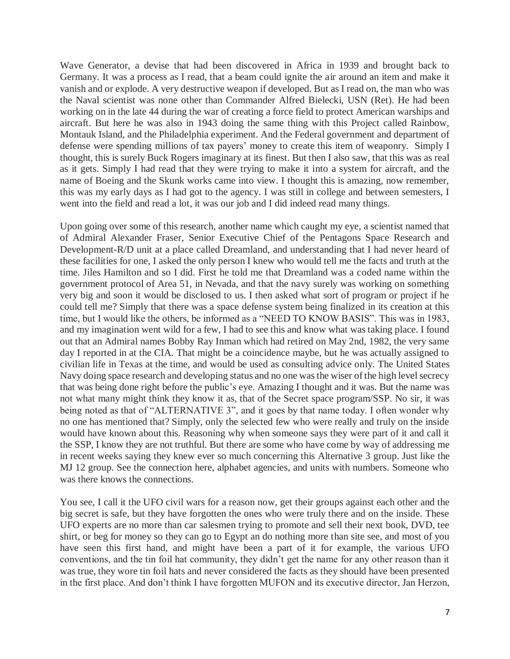Wave Generator, a devise that had been discovered in Africa in 1939 and brought back to Germany. It was a process as I read, that a beam could ignite the air around an item and make it vanish and or explode. A very destructive weapon if developed. But as I read on, the man who was the Naval scientist was none other than Commander Alfred Bielecki, USN (Ret). He had been working on in the late 44 during the war of creating a force field to protect American warships and aircraft. But here he was also in 1943 doing the same thing with this Project called Rainbow, Montauk Island, and the Philadelphia experiment. And the Federal government and department of defense were spending millions of tax payers' money to create this item of weaponry. Simply I thought, this is surely Buck Rogers imaginary at its finest. But then I also saw, that this was as real as it gets. Simply I had read that they were trying to make it into a system for aircraft, and the name of Boeing and the Skunk works came into view. I thought this is amazing, now remember, this was my early days as I had got to the agency. I was still in college and between semesters, I went into the field and read a lot, it was our job and I did indeed read many things.

Upon going over some of this research, another name which caught my eye, a scientist named that of Admiral Alexander Fraser, Senior Executive Chief of the Pentagons Space Research and Development-R/D unit at a place called Dreamland, and understanding that I had never heard of these facilities for one, I asked the only person I knew who would tell me the facts and truth at the time. Jiles Hamilton and so I did. First he told me that Dreamland was a coded name within the government protocol of Area 51, in Nevada, and that the navy surely was working on something very big and soon it would be disclosed to us. I then asked what sort of program or project if he could tell me? Simply that there was a space defense system being finalized in its creation at this time, but I would like the others, be informed as a "NEED TO KNOW BASIS". This was in 1983, and my imagination went wild for a few, I had to see this and know what was taking place. I found out that an Admiral names Bobby Ray Inman which had retired on May 2nd, 1982, the very same day I reported in at the CIA. That might be a coincidence maybe, but he was actually assigned to civilian life in Texas at the time, and would be used as consulting advice only. The United States Navy doing space research and developing status and no one was the wiser of the high level secrecy that was being done right before the public's eye. Amazing I thought and it was. But the name was not what many might think they know it as, that of the Secret space program/SSP. No sir, it was being noted as that of "ALTERNATIVE 3", and it goes by that name today. I often wonder why no one has mentioned that? Simply, only the selected few who were really and truly on the inside would have known about this. Reasoning why when someone says they were part of it and call it the SSP, I know they are not truthful. But there are some who have come by way of addressing me in recent weeks saying they knew ever so much concerning this Alternative 3 group. Just like the MJ 12 group. See the connection here, alphabet agencies, and units with numbers. Someone who was there knows the connections.

You see, I call it the UFO civil wars for a reason now, get their groups against each other and the big secret is safe, but they have forgotten the ones who were truly there and on the inside. These UFO experts are no more than car salesmen trying to promote and sell their next book, DVD, tee shirt, or beg for money so they can go to Egypt an do nothing more than site see, and most of you have seen this first hand, and might have been a part of it for example, the various UFO conventions, and the tin foil hat community, they didn't get the name for any other reason than it was true, they wore tin foil hats and never considered the facts as they should have been presented in the first place. And don't think I have forgotten MUFON and its executive director, Jan Herzon,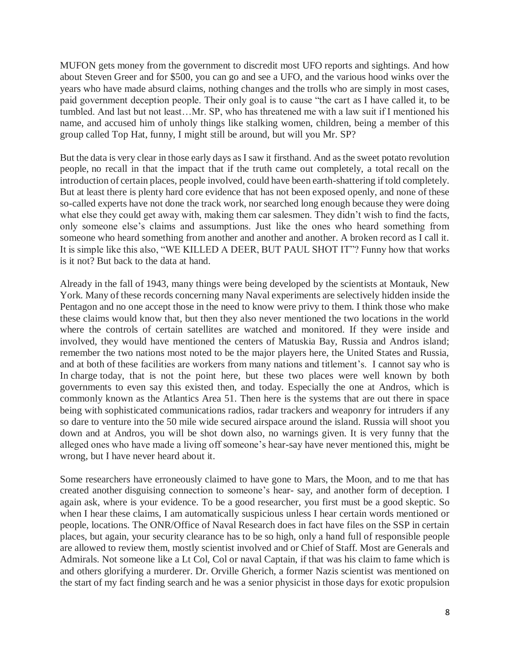MUFON gets money from the government to discredit most UFO reports and sightings. And how about Steven Greer and for \$500, you can go and see a UFO, and the various hood winks over the years who have made absurd claims, nothing changes and the trolls who are simply in most cases, paid government deception people. Their only goal is to cause "the cart as I have called it, to be tumbled. And last but not least…Mr. SP, who has threatened me with a law suit if I mentioned his name, and accused him of unholy things like stalking women, children, being a member of this group called Top Hat, funny, I might still be around, but will you Mr. SP?

But the data is very clear in those early days as I saw it firsthand. And as the sweet potato revolution people, no recall in that the impact that if the truth came out completely, a total recall on the introduction of certain places, people involved, could have been earth-shattering if told completely. But at least there is plenty hard core evidence that has not been exposed openly, and none of these so-called experts have not done the track work, nor searched long enough because they were doing what else they could get away with, making them car salesmen. They didn't wish to find the facts, only someone else's claims and assumptions. Just like the ones who heard something from someone who heard something from another and another and another. A broken record as I call it. It is simple like this also, "WE KILLED A DEER, BUT PAUL SHOT IT"? Funny how that works is it not? But back to the data at hand.

Already in the fall of 1943, many things were being developed by the scientists at Montauk, New York. Many of these records concerning many Naval experiments are selectively hidden inside the Pentagon and no one accept those in the need to know were privy to them. I think those who make these claims would know that, but then they also never mentioned the two locations in the world where the controls of certain satellites are watched and monitored. If they were inside and involved, they would have mentioned the centers of Matuskia Bay, Russia and Andros island; remember the two nations most noted to be the major players here, the United States and Russia, and at both of these facilities are workers from many nations and titlement's. I cannot say who is In charge today, that is not the point here, but these two places were well known by both governments to even say this existed then, and today. Especially the one at Andros, which is commonly known as the Atlantics Area 51. Then here is the systems that are out there in space being with sophisticated communications radios, radar trackers and weaponry for intruders if any so dare to venture into the 50 mile wide secured airspace around the island. Russia will shoot you down and at Andros, you will be shot down also, no warnings given. It is very funny that the alleged ones who have made a living off someone's hear-say have never mentioned this, might be wrong, but I have never heard about it.

Some researchers have erroneously claimed to have gone to Mars, the Moon, and to me that has created another disguising connection to someone's hear- say, and another form of deception. I again ask, where is your evidence. To be a good researcher, you first must be a good skeptic. So when I hear these claims, I am automatically suspicious unless I hear certain words mentioned or people, locations. The ONR/Office of Naval Research does in fact have files on the SSP in certain places, but again, your security clearance has to be so high, only a hand full of responsible people are allowed to review them, mostly scientist involved and or Chief of Staff. Most are Generals and Admirals. Not someone like a Lt Col, Col or naval Captain, if that was his claim to fame which is and others glorifying a murderer. Dr. Orville Gherich, a former Nazis scientist was mentioned on the start of my fact finding search and he was a senior physicist in those days for exotic propulsion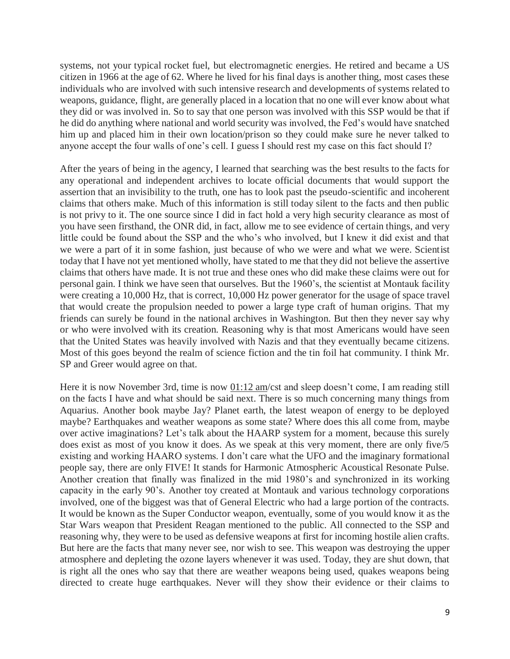systems, not your typical rocket fuel, but electromagnetic energies. He retired and became a US citizen in 1966 at the age of 62. Where he lived for his final days is another thing, most cases these individuals who are involved with such intensive research and developments of systems related to weapons, guidance, flight, are generally placed in a location that no one will ever know about what they did or was involved in. So to say that one person was involved with this SSP would be that if he did do anything where national and world security was involved, the Fed's would have snatched him up and placed him in their own location/prison so they could make sure he never talked to anyone accept the four walls of one's cell. I guess I should rest my case on this fact should I?

After the years of being in the agency, I learned that searching was the best results to the facts for any operational and independent archives to locate official documents that would support the assertion that an invisibility to the truth, one has to look past the pseudo-scientific and incoherent claims that others make. Much of this information is still today silent to the facts and then public is not privy to it. The one source since I did in fact hold a very high security clearance as most of you have seen firsthand, the ONR did, in fact, allow me to see evidence of certain things, and very little could be found about the SSP and the who's who involved, but I knew it did exist and that we were a part of it in some fashion, just because of who we were and what we were. Scientist today that I have not yet mentioned wholly, have stated to me that they did not believe the assertive claims that others have made. It is not true and these ones who did make these claims were out for personal gain. I think we have seen that ourselves. But the 1960's, the scientist at Montauk facility were creating a 10,000 Hz, that is correct, 10,000 Hz power generator for the usage of space travel that would create the propulsion needed to power a large type craft of human origins. That my friends can surely be found in the national archives in Washington. But then they never say why or who were involved with its creation. Reasoning why is that most Americans would have seen that the United States was heavily involved with Nazis and that they eventually became citizens. Most of this goes beyond the realm of science fiction and the tin foil hat community. I think Mr. SP and Greer would agree on that.

Here it is now November 3rd, time is now  $\underline{01:12}$  am/cst and sleep doesn't come, I am reading still on the facts I have and what should be said next. There is so much concerning many things from Aquarius. Another book maybe Jay? Planet earth, the latest weapon of energy to be deployed maybe? Earthquakes and weather weapons as some state? Where does this all come from, maybe over active imaginations? Let's talk about the HAARP system for a moment, because this surely does exist as most of you know it does. As we speak at this very moment, there are only five/5 existing and working HAARO systems. I don't care what the UFO and the imaginary formational people say, there are only FIVE! It stands for Harmonic Atmospheric Acoustical Resonate Pulse. Another creation that finally was finalized in the mid 1980's and synchronized in its working capacity in the early 90's. Another toy created at Montauk and various technology corporations involved, one of the biggest was that of General Electric who had a large portion of the contracts. It would be known as the Super Conductor weapon, eventually, some of you would know it as the Star Wars weapon that President Reagan mentioned to the public. All connected to the SSP and reasoning why, they were to be used as defensive weapons at first for incoming hostile alien crafts. But here are the facts that many never see, nor wish to see. This weapon was destroying the upper atmosphere and depleting the ozone layers whenever it was used. Today, they are shut down, that is right all the ones who say that there are weather weapons being used, quakes weapons being directed to create huge earthquakes. Never will they show their evidence or their claims to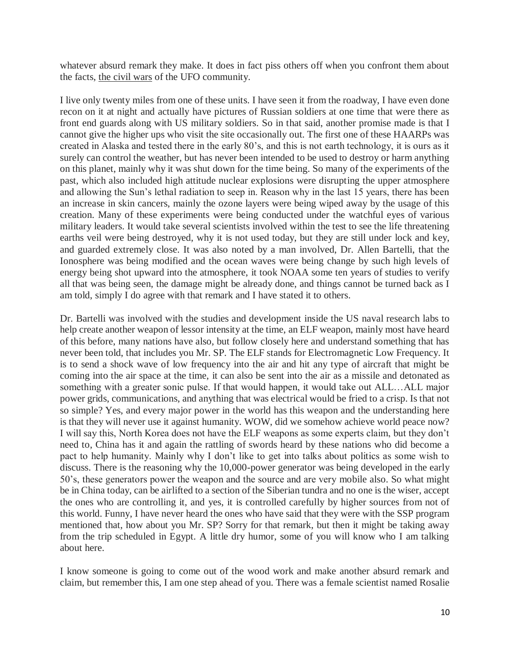whatever absurd remark they make. It does in fact piss others off when you confront them about the facts, the civil wars of the UFO community.

I live only twenty miles from one of these units. I have seen it from the roadway, I have even done recon on it at night and actually have pictures of Russian soldiers at one time that were there as front end guards along with US military soldiers. So in that said, another promise made is that I cannot give the higher ups who visit the site occasionally out. The first one of these HAARPs was created in Alaska and tested there in the early 80's, and this is not earth technology, it is ours as it surely can control the weather, but has never been intended to be used to destroy or harm anything on this planet, mainly why it was shut down for the time being. So many of the experiments of the past, which also included high attitude nuclear explosions were disrupting the upper atmosphere and allowing the Sun's lethal radiation to seep in. Reason why in the last 15 years, there has been an increase in skin cancers, mainly the ozone layers were being wiped away by the usage of this creation. Many of these experiments were being conducted under the watchful eyes of various military leaders. It would take several scientists involved within the test to see the life threatening earths veil were being destroyed, why it is not used today, but they are still under lock and key, and guarded extremely close. It was also noted by a man involved, Dr. Allen Bartelli, that the Ionosphere was being modified and the ocean waves were being change by such high levels of energy being shot upward into the atmosphere, it took NOAA some ten years of studies to verify all that was being seen, the damage might be already done, and things cannot be turned back as I am told, simply I do agree with that remark and I have stated it to others.

Dr. Bartelli was involved with the studies and development inside the US naval research labs to help create another weapon of lessor intensity at the time, an ELF weapon, mainly most have heard of this before, many nations have also, but follow closely here and understand something that has never been told, that includes you Mr. SP. The ELF stands for Electromagnetic Low Frequency. It is to send a shock wave of low frequency into the air and hit any type of aircraft that might be coming into the air space at the time, it can also be sent into the air as a missile and detonated as something with a greater sonic pulse. If that would happen, it would take out ALL…ALL major power grids, communications, and anything that was electrical would be fried to a crisp. Is that not so simple? Yes, and every major power in the world has this weapon and the understanding here is that they will never use it against humanity. WOW, did we somehow achieve world peace now? I will say this, North Korea does not have the ELF weapons as some experts claim, but they don't need to, China has it and again the rattling of swords heard by these nations who did become a pact to help humanity. Mainly why I don't like to get into talks about politics as some wish to discuss. There is the reasoning why the 10,000-power generator was being developed in the early 50's, these generators power the weapon and the source and are very mobile also. So what might be in China today, can be airlifted to a section of the Siberian tundra and no one is the wiser, accept the ones who are controlling it, and yes, it is controlled carefully by higher sources from not of this world. Funny, I have never heard the ones who have said that they were with the SSP program mentioned that, how about you Mr. SP? Sorry for that remark, but then it might be taking away from the trip scheduled in Egypt. A little dry humor, some of you will know who I am talking about here.

I know someone is going to come out of the wood work and make another absurd remark and claim, but remember this, I am one step ahead of you. There was a female scientist named Rosalie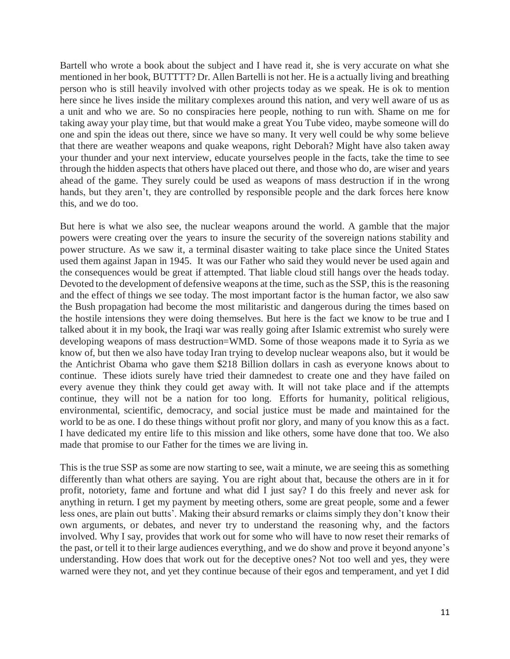Bartell who wrote a book about the subject and I have read it, she is very accurate on what she mentioned in her book, BUTTTT? Dr. Allen Bartelli is not her. He is a actually living and breathing person who is still heavily involved with other projects today as we speak. He is ok to mention here since he lives inside the military complexes around this nation, and very well aware of us as a unit and who we are. So no conspiracies here people, nothing to run with. Shame on me for taking away your play time, but that would make a great You Tube video, maybe someone will do one and spin the ideas out there, since we have so many. It very well could be why some believe that there are weather weapons and quake weapons, right Deborah? Might have also taken away your thunder and your next interview, educate yourselves people in the facts, take the time to see through the hidden aspects that others have placed out there, and those who do, are wiser and years ahead of the game. They surely could be used as weapons of mass destruction if in the wrong hands, but they aren't, they are controlled by responsible people and the dark forces here know this, and we do too.

But here is what we also see, the nuclear weapons around the world. A gamble that the major powers were creating over the years to insure the security of the sovereign nations stability and power structure. As we saw it, a terminal disaster waiting to take place since the United States used them against Japan in 1945. It was our Father who said they would never be used again and the consequences would be great if attempted. That liable cloud still hangs over the heads today. Devoted to the development of defensive weapons at the time, such as the SSP, this is the reasoning and the effect of things we see today. The most important factor is the human factor, we also saw the Bush propagation had become the most militaristic and dangerous during the times based on the hostile intensions they were doing themselves. But here is the fact we know to be true and I talked about it in my book, the Iraqi war was really going after Islamic extremist who surely were developing weapons of mass destruction=WMD. Some of those weapons made it to Syria as we know of, but then we also have today Iran trying to develop nuclear weapons also, but it would be the Antichrist Obama who gave them \$218 Billion dollars in cash as everyone knows about to continue. These idiots surely have tried their damnedest to create one and they have failed on every avenue they think they could get away with. It will not take place and if the attempts continue, they will not be a nation for too long. Efforts for humanity, political religious, environmental, scientific, democracy, and social justice must be made and maintained for the world to be as one. I do these things without profit nor glory, and many of you know this as a fact. I have dedicated my entire life to this mission and like others, some have done that too. We also made that promise to our Father for the times we are living in.

This is the true SSP as some are now starting to see, wait a minute, we are seeing this as something differently than what others are saying. You are right about that, because the others are in it for profit, notoriety, fame and fortune and what did I just say? I do this freely and never ask for anything in return. I get my payment by meeting others, some are great people, some and a fewer less ones, are plain out butts'. Making their absurd remarks or claims simply they don't know their own arguments, or debates, and never try to understand the reasoning why, and the factors involved. Why I say, provides that work out for some who will have to now reset their remarks of the past, or tell it to their large audiences everything, and we do show and prove it beyond anyone's understanding. How does that work out for the deceptive ones? Not too well and yes, they were warned were they not, and yet they continue because of their egos and temperament, and yet I did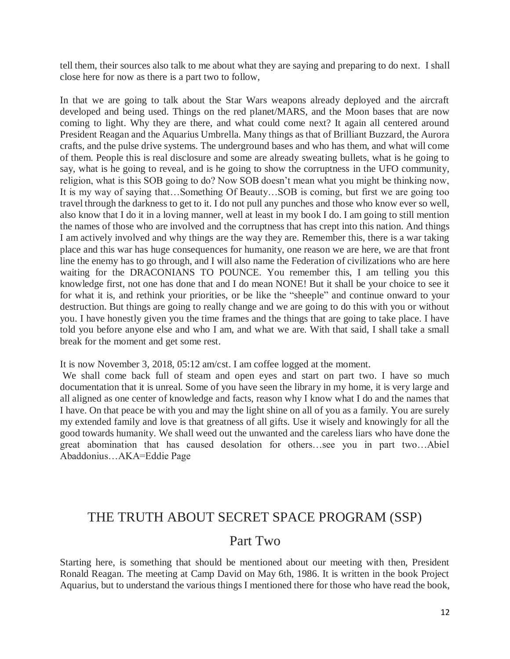tell them, their sources also talk to me about what they are saying and preparing to do next. I shall close here for now as there is a part two to follow,

In that we are going to talk about the Star Wars weapons already deployed and the aircraft developed and being used. Things on the red planet/MARS, and the Moon bases that are now coming to light. Why they are there, and what could come next? It again all centered around President Reagan and the Aquarius Umbrella. Many things as that of Brilliant Buzzard, the Aurora crafts, and the pulse drive systems. The underground bases and who has them, and what will come of them. People this is real disclosure and some are already sweating bullets, what is he going to say, what is he going to reveal, and is he going to show the corruptness in the UFO community, religion, what is this SOB going to do? Now SOB doesn't mean what you might be thinking now, It is my way of saying that…Something Of Beauty…SOB is coming, but first we are going too travel through the darkness to get to it. I do not pull any punches and those who know ever so well, also know that I do it in a loving manner, well at least in my book I do. I am going to still mention the names of those who are involved and the corruptness that has crept into this nation. And things I am actively involved and why things are the way they are. Remember this, there is a war taking place and this war has huge consequences for humanity, one reason we are here, we are that front line the enemy has to go through, and I will also name the Federation of civilizations who are here waiting for the DRACONIANS TO POUNCE. You remember this, I am telling you this knowledge first, not one has done that and I do mean NONE! But it shall be your choice to see it for what it is, and rethink your priorities, or be like the "sheeple" and continue onward to your destruction. But things are going to really change and we are going to do this with you or without you. I have honestly given you the time frames and the things that are going to take place. I have told you before anyone else and who I am, and what we are. With that said, I shall take a small break for the moment and get some rest.

It is now November 3, 2018, 05:12 am/cst. I am coffee logged at the moment.

We shall come back full of steam and open eyes and start on part two. I have so much documentation that it is unreal. Some of you have seen the library in my home, it is very large and all aligned as one center of knowledge and facts, reason why I know what I do and the names that I have. On that peace be with you and may the light shine on all of you as a family. You are surely my extended family and love is that greatness of all gifts. Use it wisely and knowingly for all the good towards humanity. We shall weed out the unwanted and the careless liars who have done the great abomination that has caused desolation for others…see you in part two…Abiel Abaddonius…AKA=Eddie Page

## THE TRUTH ABOUT SECRET SPACE PROGRAM (SSP)

### Part Two

Starting here, is something that should be mentioned about our meeting with then, President Ronald Reagan. The meeting at Camp David on May 6th, 1986. It is written in the book Project Aquarius, but to understand the various things I mentioned there for those who have read the book,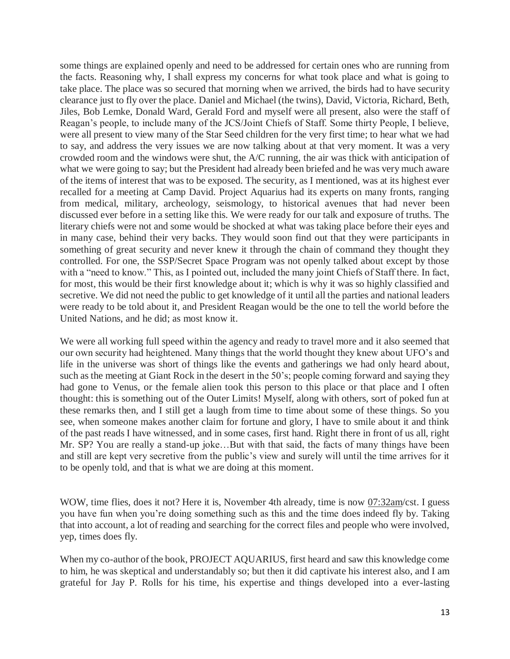some things are explained openly and need to be addressed for certain ones who are running from the facts. Reasoning why, I shall express my concerns for what took place and what is going to take place. The place was so secured that morning when we arrived, the birds had to have security clearance just to fly over the place. Daniel and Michael (the twins), David, Victoria, Richard, Beth, Jiles, Bob Lemke, Donald Ward, Gerald Ford and myself were all present, also were the staff of Reagan's people, to include many of the JCS/Joint Chiefs of Staff. Some thirty People, I believe, were all present to view many of the Star Seed children for the very first time; to hear what we had to say, and address the very issues we are now talking about at that very moment. It was a very crowded room and the windows were shut, the A/C running, the air was thick with anticipation of what we were going to say; but the President had already been briefed and he was very much aware of the items of interest that was to be exposed. The security, as I mentioned, was at its highest ever recalled for a meeting at Camp David. Project Aquarius had its experts on many fronts, ranging from medical, military, archeology, seismology, to historical avenues that had never been discussed ever before in a setting like this. We were ready for our talk and exposure of truths. The literary chiefs were not and some would be shocked at what was taking place before their eyes and in many case, behind their very backs. They would soon find out that they were participants in something of great security and never knew it through the chain of command they thought they controlled. For one, the SSP/Secret Space Program was not openly talked about except by those with a "need to know." This, as I pointed out, included the many joint Chiefs of Staff there. In fact, for most, this would be their first knowledge about it; which is why it was so highly classified and secretive. We did not need the public to get knowledge of it until all the parties and national leaders were ready to be told about it, and President Reagan would be the one to tell the world before the United Nations, and he did; as most know it.

We were all working full speed within the agency and ready to travel more and it also seemed that our own security had heightened. Many things that the world thought they knew about UFO's and life in the universe was short of things like the events and gatherings we had only heard about, such as the meeting at Giant Rock in the desert in the 50's; people coming forward and saying they had gone to Venus, or the female alien took this person to this place or that place and I often thought: this is something out of the Outer Limits! Myself, along with others, sort of poked fun at these remarks then, and I still get a laugh from time to time about some of these things. So you see, when someone makes another claim for fortune and glory, I have to smile about it and think of the past reads I have witnessed, and in some cases, first hand. Right there in front of us all, right Mr. SP? You are really a stand-up joke...But with that said, the facts of many things have been and still are kept very secretive from the public's view and surely will until the time arrives for it to be openly told, and that is what we are doing at this moment.

WOW, time flies, does it not? Here it is, November 4th already, time is now 07:32am/cst. I guess you have fun when you're doing something such as this and the time does indeed fly by. Taking that into account, a lot of reading and searching for the correct files and people who were involved, yep, times does fly.

When my co-author of the book, PROJECT AQUARIUS, first heard and saw this knowledge come to him, he was skeptical and understandably so; but then it did captivate his interest also, and I am grateful for Jay P. Rolls for his time, his expertise and things developed into a ever-lasting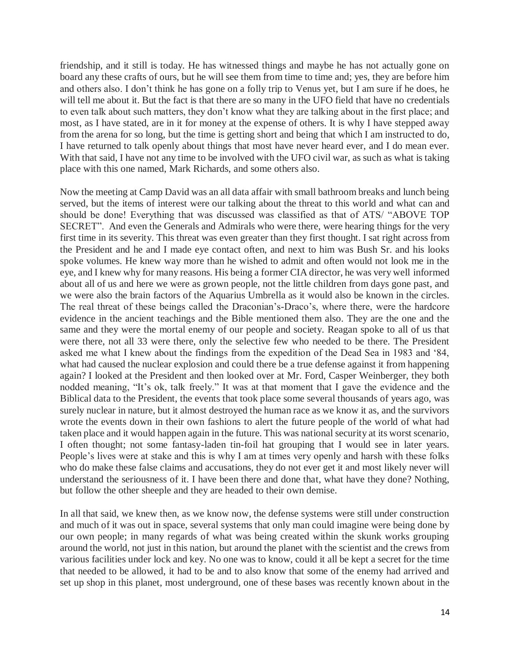friendship, and it still is today. He has witnessed things and maybe he has not actually gone on board any these crafts of ours, but he will see them from time to time and; yes, they are before him and others also. I don't think he has gone on a folly trip to Venus yet, but I am sure if he does, he will tell me about it. But the fact is that there are so many in the UFO field that have no credentials to even talk about such matters, they don't know what they are talking about in the first place; and most, as I have stated, are in it for money at the expense of others. It is why I have stepped away from the arena for so long, but the time is getting short and being that which I am instructed to do, I have returned to talk openly about things that most have never heard ever, and I do mean ever. With that said, I have not any time to be involved with the UFO civil war, as such as what is taking place with this one named, Mark Richards, and some others also.

Now the meeting at Camp David was an all data affair with small bathroom breaks and lunch being served, but the items of interest were our talking about the threat to this world and what can and should be done! Everything that was discussed was classified as that of ATS/ "ABOVE TOP SECRET". And even the Generals and Admirals who were there, were hearing things for the very first time in its severity. This threat was even greater than they first thought. I sat right across from the President and he and I made eye contact often, and next to him was Bush Sr. and his looks spoke volumes. He knew way more than he wished to admit and often would not look me in the eye, and I knew why for many reasons. His being a former CIA director, he was very well informed about all of us and here we were as grown people, not the little children from days gone past, and we were also the brain factors of the Aquarius Umbrella as it would also be known in the circles. The real threat of these beings called the Draconian's-Draco's, where there, were the hardcore evidence in the ancient teachings and the Bible mentioned them also. They are the one and the same and they were the mortal enemy of our people and society. Reagan spoke to all of us that were there, not all 33 were there, only the selective few who needed to be there. The President asked me what I knew about the findings from the expedition of the Dead Sea in 1983 and '84, what had caused the nuclear explosion and could there be a true defense against it from happening again? I looked at the President and then looked over at Mr. Ford, Casper Weinberger, they both nodded meaning, "It's ok, talk freely." It was at that moment that I gave the evidence and the Biblical data to the President, the events that took place some several thousands of years ago, was surely nuclear in nature, but it almost destroyed the human race as we know it as, and the survivors wrote the events down in their own fashions to alert the future people of the world of what had taken place and it would happen again in the future. This was national security at its worst scenario, I often thought; not some fantasy-laden tin-foil hat grouping that I would see in later years. People's lives were at stake and this is why I am at times very openly and harsh with these folks who do make these false claims and accusations, they do not ever get it and most likely never will understand the seriousness of it. I have been there and done that, what have they done? Nothing, but follow the other sheeple and they are headed to their own demise.

In all that said, we knew then, as we know now, the defense systems were still under construction and much of it was out in space, several systems that only man could imagine were being done by our own people; in many regards of what was being created within the skunk works grouping around the world, not just in this nation, but around the planet with the scientist and the crews from various facilities under lock and key. No one was to know, could it all be kept a secret for the time that needed to be allowed, it had to be and to also know that some of the enemy had arrived and set up shop in this planet, most underground, one of these bases was recently known about in the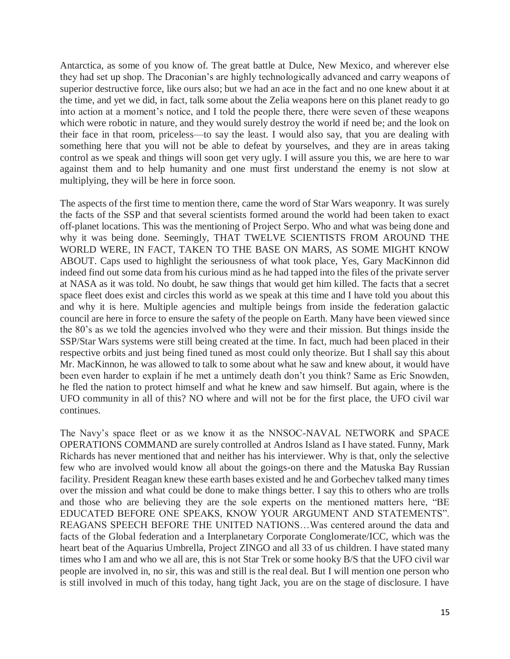Antarctica, as some of you know of. The great battle at Dulce, New Mexico, and wherever else they had set up shop. The Draconian's are highly technologically advanced and carry weapons of superior destructive force, like ours also; but we had an ace in the fact and no one knew about it at the time, and yet we did, in fact, talk some about the Zelia weapons here on this planet ready to go into action at a moment's notice, and I told the people there, there were seven of these weapons which were robotic in nature, and they would surely destroy the world if need be; and the look on their face in that room, priceless—to say the least. I would also say, that you are dealing with something here that you will not be able to defeat by yourselves, and they are in areas taking control as we speak and things will soon get very ugly. I will assure you this, we are here to war against them and to help humanity and one must first understand the enemy is not slow at multiplying, they will be here in force soon.

The aspects of the first time to mention there, came the word of Star Wars weaponry. It was surely the facts of the SSP and that several scientists formed around the world had been taken to exact off-planet locations. This was the mentioning of Project Serpo. Who and what was being done and why it was being done. Seemingly, THAT TWELVE SCIENTISTS FROM AROUND THE WORLD WERE, IN FACT, TAKEN TO THE BASE ON MARS, AS SOME MIGHT KNOW ABOUT. Caps used to highlight the seriousness of what took place, Yes, Gary MacKinnon did indeed find out some data from his curious mind as he had tapped into the files of the private server at NASA as it was told. No doubt, he saw things that would get him killed. The facts that a secret space fleet does exist and circles this world as we speak at this time and I have told you about this and why it is here. Multiple agencies and multiple beings from inside the federation galactic council are here in force to ensure the safety of the people on Earth. Many have been viewed since the 80's as we told the agencies involved who they were and their mission. But things inside the SSP/Star Wars systems were still being created at the time. In fact, much had been placed in their respective orbits and just being fined tuned as most could only theorize. But I shall say this about Mr. MacKinnon, he was allowed to talk to some about what he saw and knew about, it would have been even harder to explain if he met a untimely death don't you think? Same as Eric Snowden, he fled the nation to protect himself and what he knew and saw himself. But again, where is the UFO community in all of this? NO where and will not be for the first place, the UFO civil war continues.

The Navy's space fleet or as we know it as the NNSOC-NAVAL NETWORK and SPACE OPERATIONS COMMAND are surely controlled at Andros Island as I have stated. Funny, Mark Richards has never mentioned that and neither has his interviewer. Why is that, only the selective few who are involved would know all about the goings-on there and the Matuska Bay Russian facility. President Reagan knew these earth bases existed and he and Gorbechev talked many times over the mission and what could be done to make things better. I say this to others who are trolls and those who are believing they are the sole experts on the mentioned matters here, "BE EDUCATED BEFORE ONE SPEAKS, KNOW YOUR ARGUMENT AND STATEMENTS". REAGANS SPEECH BEFORE THE UNITED NATIONS…Was centered around the data and facts of the Global federation and a Interplanetary Corporate Conglomerate/ICC, which was the heart beat of the Aquarius Umbrella, Project ZINGO and all 33 of us children. I have stated many times who I am and who we all are, this is not Star Trek or some hooky B/S that the UFO civil war people are involved in, no sir, this was and still is the real deal. But I will mention one person who is still involved in much of this today, hang tight Jack, you are on the stage of disclosure. I have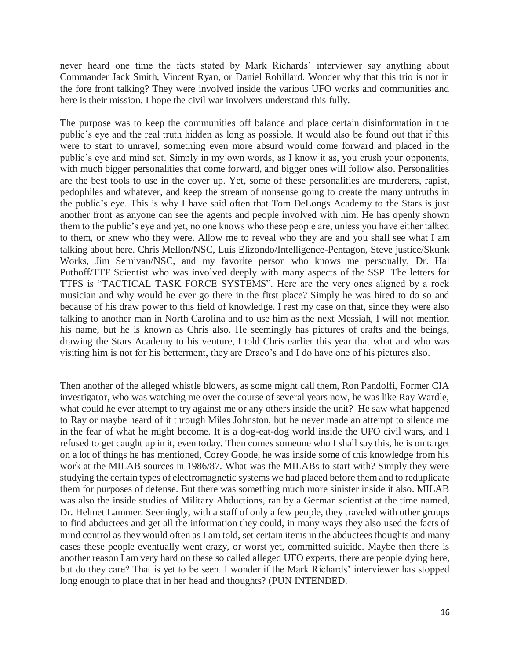never heard one time the facts stated by Mark Richards' interviewer say anything about Commander Jack Smith, Vincent Ryan, or Daniel Robillard. Wonder why that this trio is not in the fore front talking? They were involved inside the various UFO works and communities and here is their mission. I hope the civil war involvers understand this fully.

The purpose was to keep the communities off balance and place certain disinformation in the public's eye and the real truth hidden as long as possible. It would also be found out that if this were to start to unravel, something even more absurd would come forward and placed in the public's eye and mind set. Simply in my own words, as I know it as, you crush your opponents, with much bigger personalities that come forward, and bigger ones will follow also. Personalities are the best tools to use in the cover up. Yet, some of these personalities are murderers, rapist, pedophiles and whatever, and keep the stream of nonsense going to create the many untruths in the public's eye. This is why I have said often that Tom DeLongs Academy to the Stars is just another front as anyone can see the agents and people involved with him. He has openly shown them to the public's eye and yet, no one knows who these people are, unless you have either talked to them, or knew who they were. Allow me to reveal who they are and you shall see what I am talking about here. Chris Mellon/NSC, Luis Elizondo/Intelligence-Pentagon, Steve justice/Skunk Works, Jim Semivan/NSC, and my favorite person who knows me personally, Dr. Hal Puthoff/TTF Scientist who was involved deeply with many aspects of the SSP. The letters for TTFS is "TACTICAL TASK FORCE SYSTEMS". Here are the very ones aligned by a rock musician and why would he ever go there in the first place? Simply he was hired to do so and because of his draw power to this field of knowledge. I rest my case on that, since they were also talking to another man in North Carolina and to use him as the next Messiah, I will not mention his name, but he is known as Chris also. He seemingly has pictures of crafts and the beings, drawing the Stars Academy to his venture, I told Chris earlier this year that what and who was visiting him is not for his betterment, they are Draco's and I do have one of his pictures also.

Then another of the alleged whistle blowers, as some might call them, Ron Pandolfi, Former CIA investigator, who was watching me over the course of several years now, he was like Ray Wardle, what could he ever attempt to try against me or any others inside the unit? He saw what happened to Ray or maybe heard of it through Miles Johnston, but he never made an attempt to silence me in the fear of what he might become. It is a dog-eat-dog world inside the UFO civil wars, and I refused to get caught up in it, even today. Then comes someone who I shall say this, he is on target on a lot of things he has mentioned, Corey Goode, he was inside some of this knowledge from his work at the MILAB sources in 1986/87. What was the MILABs to start with? Simply they were studying the certain types of electromagnetic systems we had placed before them and to reduplicate them for purposes of defense. But there was something much more sinister inside it also. MILAB was also the inside studies of Military Abductions, ran by a German scientist at the time named, Dr. Helmet Lammer. Seemingly, with a staff of only a few people, they traveled with other groups to find abductees and get all the information they could, in many ways they also used the facts of mind control as they would often as I am told, set certain items in the abductees thoughts and many cases these people eventually went crazy, or worst yet, committed suicide. Maybe then there is another reason I am very hard on these so called alleged UFO experts, there are people dying here, but do they care? That is yet to be seen. I wonder if the Mark Richards' interviewer has stopped long enough to place that in her head and thoughts? (PUN INTENDED.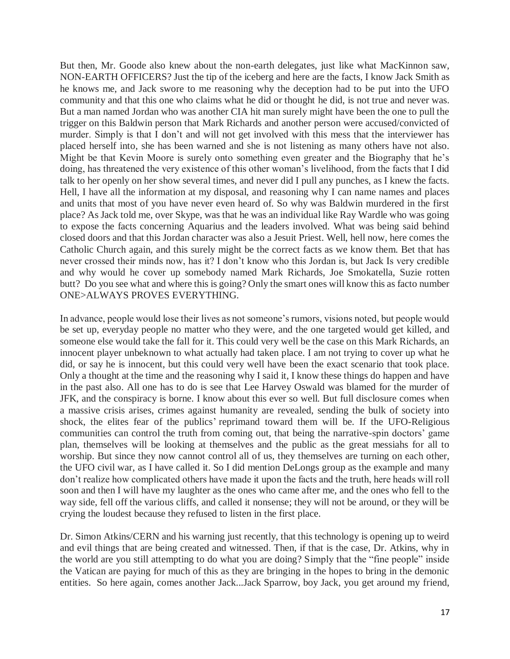But then, Mr. Goode also knew about the non-earth delegates, just like what MacKinnon saw, NON-EARTH OFFICERS? Just the tip of the iceberg and here are the facts, I know Jack Smith as he knows me, and Jack swore to me reasoning why the deception had to be put into the UFO community and that this one who claims what he did or thought he did, is not true and never was. But a man named Jordan who was another CIA hit man surely might have been the one to pull the trigger on this Baldwin person that Mark Richards and another person were accused/convicted of murder. Simply is that I don't and will not get involved with this mess that the interviewer has placed herself into, she has been warned and she is not listening as many others have not also. Might be that Kevin Moore is surely onto something even greater and the Biography that he's doing, has threatened the very existence of this other woman's livelihood, from the facts that I did talk to her openly on her show several times, and never did I pull any punches, as I knew the facts. Hell, I have all the information at my disposal, and reasoning why I can name names and places and units that most of you have never even heard of. So why was Baldwin murdered in the first place? As Jack told me, over Skype, was that he was an individual like Ray Wardle who was going to expose the facts concerning Aquarius and the leaders involved. What was being said behind closed doors and that this Jordan character was also a Jesuit Priest. Well, hell now, here comes the Catholic Church again, and this surely might be the correct facts as we know them. Bet that has never crossed their minds now, has it? I don't know who this Jordan is, but Jack Is very credible and why would he cover up somebody named Mark Richards, Joe Smokatella, Suzie rotten butt? Do you see what and where this is going? Only the smart ones will know this as facto number ONE>ALWAYS PROVES EVERYTHING.

In advance, people would lose their lives as not someone's rumors, visions noted, but people would be set up, everyday people no matter who they were, and the one targeted would get killed, and someone else would take the fall for it. This could very well be the case on this Mark Richards, an innocent player unbeknown to what actually had taken place. I am not trying to cover up what he did, or say he is innocent, but this could very well have been the exact scenario that took place. Only a thought at the time and the reasoning why I said it, I know these things do happen and have in the past also. All one has to do is see that Lee Harvey Oswald was blamed for the murder of JFK, and the conspiracy is borne. I know about this ever so well. But full disclosure comes when a massive crisis arises, crimes against humanity are revealed, sending the bulk of society into shock, the elites fear of the publics' reprimand toward them will be. If the UFO-Religious communities can control the truth from coming out, that being the narrative-spin doctors' game plan, themselves will be looking at themselves and the public as the great messiahs for all to worship. But since they now cannot control all of us, they themselves are turning on each other, the UFO civil war, as I have called it. So I did mention DeLongs group as the example and many don't realize how complicated others have made it upon the facts and the truth, here heads will roll soon and then I will have my laughter as the ones who came after me, and the ones who fell to the way side, fell off the various cliffs, and called it nonsense; they will not be around, or they will be crying the loudest because they refused to listen in the first place.

Dr. Simon Atkins/CERN and his warning just recently, that this technology is opening up to weird and evil things that are being created and witnessed. Then, if that is the case, Dr. Atkins, why in the world are you still attempting to do what you are doing? Simply that the "fine people" inside the Vatican are paying for much of this as they are bringing in the hopes to bring in the demonic entities. So here again, comes another Jack...Jack Sparrow, boy Jack, you get around my friend,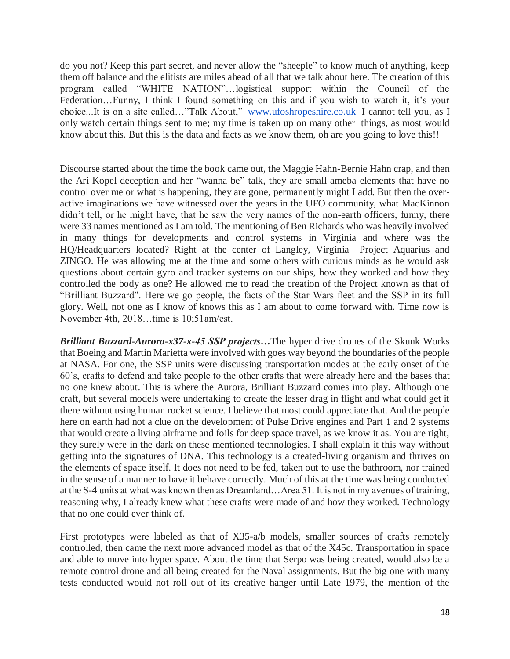do you not? Keep this part secret, and never allow the "sheeple" to know much of anything, keep them off balance and the elitists are miles ahead of all that we talk about here. The creation of this program called "WHITE NATION"…logistical support within the Council of the Federation…Funny, I think I found something on this and if you wish to watch it, it's your choice...It is on a site called…"Talk About," [www.ufoshropeshire.co.uk](http://www.ufoshropeshire.co.uk/) I cannot tell you, as I only watch certain things sent to me; my time is taken up on many other things, as most would know about this. But this is the data and facts as we know them, oh are you going to love this!!

Discourse started about the time the book came out, the Maggie Hahn-Bernie Hahn crap, and then the Ari Kopel deception and her "wanna be" talk, they are small ameba elements that have no control over me or what is happening, they are gone, permanently might I add. But then the overactive imaginations we have witnessed over the years in the UFO community, what MacKinnon didn't tell, or he might have, that he saw the very names of the non-earth officers, funny, there were 33 names mentioned as I am told. The mentioning of Ben Richards who was heavily involved in many things for developments and control systems in Virginia and where was the HQ/Headquarters located? Right at the center of Langley, Virginia—Project Aquarius and ZINGO. He was allowing me at the time and some others with curious minds as he would ask questions about certain gyro and tracker systems on our ships, how they worked and how they controlled the body as one? He allowed me to read the creation of the Project known as that of "Brilliant Buzzard". Here we go people, the facts of the Star Wars fleet and the SSP in its full glory. Well, not one as I know of knows this as I am about to come forward with. Time now is November 4th, 2018…time is 10;51am/est.

*Brilliant Buzzard-Aurora-x37-x-45 SSP projects…*The hyper drive drones of the Skunk Works that Boeing and Martin Marietta were involved with goes way beyond the boundaries of the people at NASA. For one, the SSP units were discussing transportation modes at the early onset of the 60's, crafts to defend and take people to the other crafts that were already here and the bases that no one knew about. This is where the Aurora, Brilliant Buzzard comes into play. Although one craft, but several models were undertaking to create the lesser drag in flight and what could get it there without using human rocket science. I believe that most could appreciate that. And the people here on earth had not a clue on the development of Pulse Drive engines and Part 1 and 2 systems that would create a living airframe and foils for deep space travel, as we know it as. You are right, they surely were in the dark on these mentioned technologies. I shall explain it this way without getting into the signatures of DNA. This technology is a created-living organism and thrives on the elements of space itself. It does not need to be fed, taken out to use the bathroom, nor trained in the sense of a manner to have it behave correctly. Much of this at the time was being conducted at the S-4 units at what was known then as Dreamland…Area 51. It is not in my avenues of training, reasoning why, I already knew what these crafts were made of and how they worked. Technology that no one could ever think of.

First prototypes were labeled as that of X35-a/b models, smaller sources of crafts remotely controlled, then came the next more advanced model as that of the X45c. Transportation in space and able to move into hyper space. About the time that Serpo was being created, would also be a remote control drone and all being created for the Naval assignments. But the big one with many tests conducted would not roll out of its creative hanger until Late 1979, the mention of the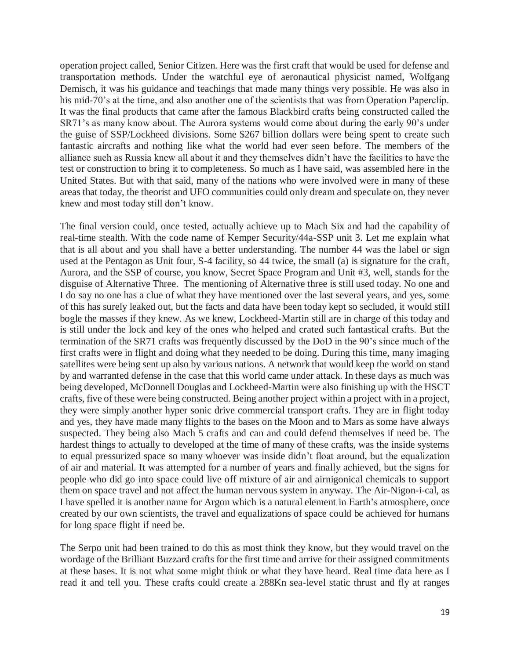operation project called, Senior Citizen. Here was the first craft that would be used for defense and transportation methods. Under the watchful eye of aeronautical physicist named, Wolfgang Demisch, it was his guidance and teachings that made many things very possible. He was also in his mid-70's at the time, and also another one of the scientists that was from Operation Paperclip. It was the final products that came after the famous Blackbird crafts being constructed called the SR71's as many know about. The Aurora systems would come about during the early 90's under the guise of SSP/Lockheed divisions. Some \$267 billion dollars were being spent to create such fantastic aircrafts and nothing like what the world had ever seen before. The members of the alliance such as Russia knew all about it and they themselves didn't have the facilities to have the test or construction to bring it to completeness. So much as I have said, was assembled here in the United States. But with that said, many of the nations who were involved were in many of these areas that today, the theorist and UFO communities could only dream and speculate on, they never knew and most today still don't know.

The final version could, once tested, actually achieve up to Mach Six and had the capability of real-time stealth. With the code name of Kemper Security/44a-SSP unit 3. Let me explain what that is all about and you shall have a better understanding. The number 44 was the label or sign used at the Pentagon as Unit four, S-4 facility, so 44 twice, the small (a) is signature for the craft, Aurora, and the SSP of course, you know, Secret Space Program and Unit #3, well, stands for the disguise of Alternative Three. The mentioning of Alternative three is still used today. No one and I do say no one has a clue of what they have mentioned over the last several years, and yes, some of this has surely leaked out, but the facts and data have been today kept so secluded, it would still bogle the masses if they knew. As we knew, Lockheed-Martin still are in charge of this today and is still under the lock and key of the ones who helped and crated such fantastical crafts. But the termination of the SR71 crafts was frequently discussed by the DoD in the 90's since much of the first crafts were in flight and doing what they needed to be doing. During this time, many imaging satellites were being sent up also by various nations. A network that would keep the world on stand by and warranted defense in the case that this world came under attack. In these days as much was being developed, McDonnell Douglas and Lockheed-Martin were also finishing up with the HSCT crafts, five of these were being constructed. Being another project within a project with in a project, they were simply another hyper sonic drive commercial transport crafts. They are in flight today and yes, they have made many flights to the bases on the Moon and to Mars as some have always suspected. They being also Mach 5 crafts and can and could defend themselves if need be. The hardest things to actually to developed at the time of many of these crafts, was the inside systems to equal pressurized space so many whoever was inside didn't float around, but the equalization of air and material. It was attempted for a number of years and finally achieved, but the signs for people who did go into space could live off mixture of air and airnigonical chemicals to support them on space travel and not affect the human nervous system in anyway. The Air-Nigon-i-cal, as I have spelled it is another name for Argon which is a natural element in Earth's atmosphere, once created by our own scientists, the travel and equalizations of space could be achieved for humans for long space flight if need be.

The Serpo unit had been trained to do this as most think they know, but they would travel on the wordage of the Brilliant Buzzard crafts for the first time and arrive for their assigned commitments at these bases. It is not what some might think or what they have heard. Real time data here as I read it and tell you. These crafts could create a 288Kn sea-level static thrust and fly at ranges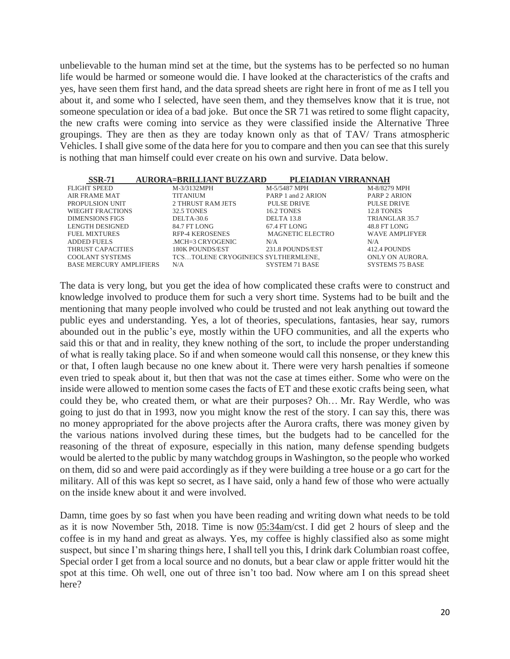unbelievable to the human mind set at the time, but the systems has to be perfected so no human life would be harmed or someone would die. I have looked at the characteristics of the crafts and yes, have seen them first hand, and the data spread sheets are right here in front of me as I tell you about it, and some who I selected, have seen them, and they themselves know that it is true, not someone speculation or idea of a bad joke. But once the SR 71 was retired to some flight capacity, the new crafts were coming into service as they were classified inside the Alternative Three groupings. They are then as they are today known only as that of TAV/ Trans atmospheric Vehicles. I shall give some of the data here for you to compare and then you can see that this surely is nothing that man himself could ever create on his own and survive. Data below.

| <b>SSR-71</b>                  | <b>AURORA=BRILLIANT BUZZARD</b> | PLEIADIAN VIRRANNAH                 |                        |
|--------------------------------|---------------------------------|-------------------------------------|------------------------|
| <b>FLIGHT SPEED</b>            | M-3/3132MPH                     | M-5/5487 MPH                        | M-8/8279 MPH           |
| AIR FRAME MAT                  | <b>TITANIUM</b>                 | PARP 1 and 2 ARION                  | <b>PARP 2 ARION</b>    |
| PROPULSION UNIT                | 2 THRUST RAM JETS               | <b>PULSE DRIVE</b>                  | <b>PULSE DRIVE</b>     |
| WIEGHT FRACTIONS               | <b>32.5 TONES</b>               | <b>16.2 TONES</b>                   | 12.8 TONES             |
| <b>DIMENSIONS FIGS</b>         | DELTA-30.6                      | DELTA 13.8                          | TRIANGLAR 35.7         |
| LENGTH DESIGNED                | 84.7 FT LONG                    | 67.4 FT LONG                        | 48.8 FT LONG           |
| <b>FUEL MIXTURES</b>           | <b>RFP-4 KEROSENES</b>          | <b>MAGNETIC ELECTRO</b>             | <b>WAVE AMPLIFYER</b>  |
| <b>ADDED FUELS</b>             | .MCH=3 CRYOGENIC                | N/A                                 | N/A                    |
| THRUST CAPACITIES              | <b>180K POUNDS/EST</b>          | 231.8 POUNDS/EST                    | 412.4 POUNDS           |
| <b>COOLANT SYSTEMS</b>         |                                 | TCSTOLENE CRYOGINEICS SYLTHERMLENE. | ONLY ON AURORA.        |
| <b>BASE MERCURY AMPLIFIERS</b> | N/A                             | <b>SYSTEM 71 BASE</b>               | <b>SYSTEMS 75 BASE</b> |

The data is very long, but you get the idea of how complicated these crafts were to construct and knowledge involved to produce them for such a very short time. Systems had to be built and the mentioning that many people involved who could be trusted and not leak anything out toward the public eyes and understanding. Yes, a lot of theories, speculations, fantasies, hear say, rumors abounded out in the public's eye, mostly within the UFO communities, and all the experts who said this or that and in reality, they knew nothing of the sort, to include the proper understanding of what is really taking place. So if and when someone would call this nonsense, or they knew this or that, I often laugh because no one knew about it. There were very harsh penalties if someone even tried to speak about it, but then that was not the case at times either. Some who were on the inside were allowed to mention some cases the facts of ET and these exotic crafts being seen, what could they be, who created them, or what are their purposes? Oh… Mr. Ray Werdle, who was going to just do that in 1993, now you might know the rest of the story. I can say this, there was no money appropriated for the above projects after the Aurora crafts, there was money given by the various nations involved during these times, but the budgets had to be cancelled for the reasoning of the threat of exposure, especially in this nation, many defense spending budgets would be alerted to the public by many watchdog groups in Washington, so the people who worked on them, did so and were paid accordingly as if they were building a tree house or a go cart for the military. All of this was kept so secret, as I have said, only a hand few of those who were actually on the inside knew about it and were involved.

Damn, time goes by so fast when you have been reading and writing down what needs to be told as it is now November 5th, 2018. Time is now 05:34am/cst. I did get 2 hours of sleep and the coffee is in my hand and great as always. Yes, my coffee is highly classified also as some might suspect, but since I'm sharing things here, I shall tell you this, I drink dark Columbian roast coffee, Special order I get from a local source and no donuts, but a bear claw or apple fritter would hit the spot at this time. Oh well, one out of three isn't too bad. Now where am I on this spread sheet here?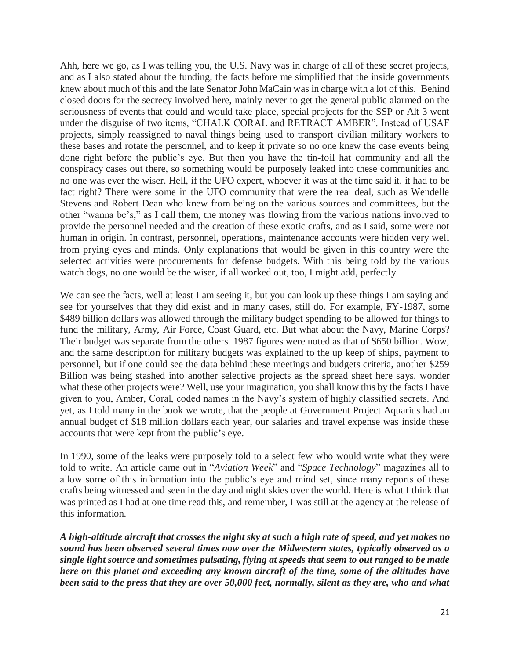Ahh, here we go, as I was telling you, the U.S. Navy was in charge of all of these secret projects, and as I also stated about the funding, the facts before me simplified that the inside governments knew about much of this and the late Senator John MaCain was in charge with a lot of this. Behind closed doors for the secrecy involved here, mainly never to get the general public alarmed on the seriousness of events that could and would take place, special projects for the SSP or Alt 3 went under the disguise of two items, "CHALK CORAL and RETRACT AMBER". Instead of USAF projects, simply reassigned to naval things being used to transport civilian military workers to these bases and rotate the personnel, and to keep it private so no one knew the case events being done right before the public's eye. But then you have the tin-foil hat community and all the conspiracy cases out there, so something would be purposely leaked into these communities and no one was ever the wiser. Hell, if the UFO expert, whoever it was at the time said it, it had to be fact right? There were some in the UFO community that were the real deal, such as Wendelle Stevens and Robert Dean who knew from being on the various sources and committees, but the other "wanna be's," as I call them, the money was flowing from the various nations involved to provide the personnel needed and the creation of these exotic crafts, and as I said, some were not human in origin. In contrast, personnel, operations, maintenance accounts were hidden very well from prying eyes and minds. Only explanations that would be given in this country were the selected activities were procurements for defense budgets. With this being told by the various watch dogs, no one would be the wiser, if all worked out, too, I might add, perfectly.

We can see the facts, well at least I am seeing it, but you can look up these things I am saying and see for yourselves that they did exist and in many cases, still do. For example, FY-1987, some \$489 billion dollars was allowed through the military budget spending to be allowed for things to fund the military, Army, Air Force, Coast Guard, etc. But what about the Navy, Marine Corps? Their budget was separate from the others. 1987 figures were noted as that of \$650 billion. Wow, and the same description for military budgets was explained to the up keep of ships, payment to personnel, but if one could see the data behind these meetings and budgets criteria, another \$259 Billion was being stashed into another selective projects as the spread sheet here says, wonder what these other projects were? Well, use your imagination, you shall know this by the facts I have given to you, Amber, Coral, coded names in the Navy's system of highly classified secrets. And yet, as I told many in the book we wrote, that the people at Government Project Aquarius had an annual budget of \$18 million dollars each year, our salaries and travel expense was inside these accounts that were kept from the public's eye.

In 1990, some of the leaks were purposely told to a select few who would write what they were told to write. An article came out in "*Aviation Week*" and "*Space Technology*" magazines all to allow some of this information into the public's eye and mind set, since many reports of these crafts being witnessed and seen in the day and night skies over the world. Here is what I think that was printed as I had at one time read this, and remember, I was still at the agency at the release of this information.

*A high-altitude aircraft that crosses the night sky at such a high rate of speed, and yet makes no sound has been observed several times now over the Midwestern states, typically observed as a single light source and sometimes pulsating, flying at speeds that seem to out ranged to be made here on this planet and exceeding any known aircraft of the time, some of the altitudes have been said to the press that they are over 50,000 feet, normally, silent as they are, who and what*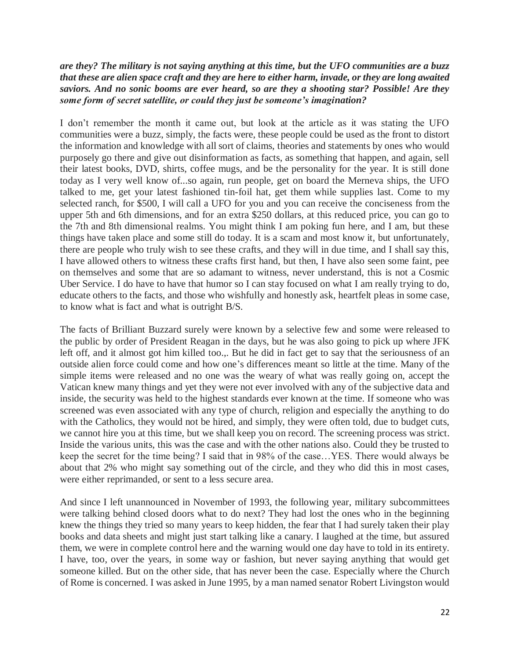#### *are they? The military is not saying anything at this time, but the UFO communities are a buzz that these are alien space craft and they are here to either harm, invade, or they are long awaited saviors. And no sonic booms are ever heard, so are they a shooting star? Possible! Are they some form of secret satellite, or could they just be someone's imagination?*

I don't remember the month it came out, but look at the article as it was stating the UFO communities were a buzz, simply, the facts were, these people could be used as the front to distort the information and knowledge with all sort of claims, theories and statements by ones who would purposely go there and give out disinformation as facts, as something that happen, and again, sell their latest books, DVD, shirts, coffee mugs, and be the personality for the year. It is still done today as I very well know of...so again, run people, get on board the Merneva ships, the UFO talked to me, get your latest fashioned tin-foil hat, get them while supplies last. Come to my selected ranch, for \$500, I will call a UFO for you and you can receive the conciseness from the upper 5th and 6th dimensions, and for an extra \$250 dollars, at this reduced price, you can go to the 7th and 8th dimensional realms. You might think I am poking fun here, and I am, but these things have taken place and some still do today. It is a scam and most know it, but unfortunately, there are people who truly wish to see these crafts, and they will in due time, and I shall say this, I have allowed others to witness these crafts first hand, but then, I have also seen some faint, pee on themselves and some that are so adamant to witness, never understand, this is not a Cosmic Uber Service. I do have to have that humor so I can stay focused on what I am really trying to do, educate others to the facts, and those who wishfully and honestly ask, heartfelt pleas in some case, to know what is fact and what is outright B/S.

The facts of Brilliant Buzzard surely were known by a selective few and some were released to the public by order of President Reagan in the days, but he was also going to pick up where JFK left off, and it almost got him killed too.,. But he did in fact get to say that the seriousness of an outside alien force could come and how one's differences meant so little at the time. Many of the simple items were released and no one was the weary of what was really going on, accept the Vatican knew many things and yet they were not ever involved with any of the subjective data and inside, the security was held to the highest standards ever known at the time. If someone who was screened was even associated with any type of church, religion and especially the anything to do with the Catholics, they would not be hired, and simply, they were often told, due to budget cuts, we cannot hire you at this time, but we shall keep you on record. The screening process was strict. Inside the various units, this was the case and with the other nations also. Could they be trusted to keep the secret for the time being? I said that in 98% of the case…YES. There would always be about that 2% who might say something out of the circle, and they who did this in most cases, were either reprimanded, or sent to a less secure area.

And since I left unannounced in November of 1993, the following year, military subcommittees were talking behind closed doors what to do next? They had lost the ones who in the beginning knew the things they tried so many years to keep hidden, the fear that I had surely taken their play books and data sheets and might just start talking like a canary. I laughed at the time, but assured them, we were in complete control here and the warning would one day have to told in its entirety. I have, too, over the years, in some way or fashion, but never saying anything that would get someone killed. But on the other side, that has never been the case. Especially where the Church of Rome is concerned. I was asked in June 1995, by a man named senator Robert Livingston would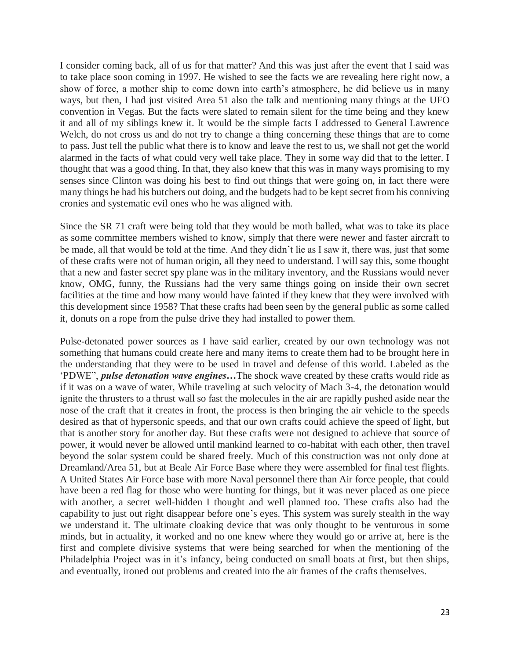I consider coming back, all of us for that matter? And this was just after the event that I said was to take place soon coming in 1997. He wished to see the facts we are revealing here right now, a show of force, a mother ship to come down into earth's atmosphere, he did believe us in many ways, but then, I had just visited Area 51 also the talk and mentioning many things at the UFO convention in Vegas. But the facts were slated to remain silent for the time being and they knew it and all of my siblings knew it. It would be the simple facts I addressed to General Lawrence Welch, do not cross us and do not try to change a thing concerning these things that are to come to pass. Just tell the public what there is to know and leave the rest to us, we shall not get the world alarmed in the facts of what could very well take place. They in some way did that to the letter. I thought that was a good thing. In that, they also knew that this was in many ways promising to my senses since Clinton was doing his best to find out things that were going on, in fact there were many things he had his butchers out doing, and the budgets had to be kept secret from his conniving cronies and systematic evil ones who he was aligned with.

Since the SR 71 craft were being told that they would be moth balled, what was to take its place as some committee members wished to know, simply that there were newer and faster aircraft to be made, all that would be told at the time. And they didn't lie as I saw it, there was, just that some of these crafts were not of human origin, all they need to understand. I will say this, some thought that a new and faster secret spy plane was in the military inventory, and the Russians would never know, OMG, funny, the Russians had the very same things going on inside their own secret facilities at the time and how many would have fainted if they knew that they were involved with this development since 1958? That these crafts had been seen by the general public as some called it, donuts on a rope from the pulse drive they had installed to power them.

Pulse-detonated power sources as I have said earlier, created by our own technology was not something that humans could create here and many items to create them had to be brought here in the understanding that they were to be used in travel and defense of this world. Labeled as the 'PDWE", *pulse detonation wave engines…*The shock wave created by these crafts would ride as if it was on a wave of water, While traveling at such velocity of Mach 3-4, the detonation would ignite the thrusters to a thrust wall so fast the molecules in the air are rapidly pushed aside near the nose of the craft that it creates in front, the process is then bringing the air vehicle to the speeds desired as that of hypersonic speeds, and that our own crafts could achieve the speed of light, but that is another story for another day. But these crafts were not designed to achieve that source of power, it would never be allowed until mankind learned to co-habitat with each other, then travel beyond the solar system could be shared freely. Much of this construction was not only done at Dreamland/Area 51, but at Beale Air Force Base where they were assembled for final test flights. A United States Air Force base with more Naval personnel there than Air force people, that could have been a red flag for those who were hunting for things, but it was never placed as one piece with another, a secret well-hidden I thought and well planned too. These crafts also had the capability to just out right disappear before one's eyes. This system was surely stealth in the way we understand it. The ultimate cloaking device that was only thought to be venturous in some minds, but in actuality, it worked and no one knew where they would go or arrive at, here is the first and complete divisive systems that were being searched for when the mentioning of the Philadelphia Project was in it's infancy, being conducted on small boats at first, but then ships, and eventually, ironed out problems and created into the air frames of the crafts themselves.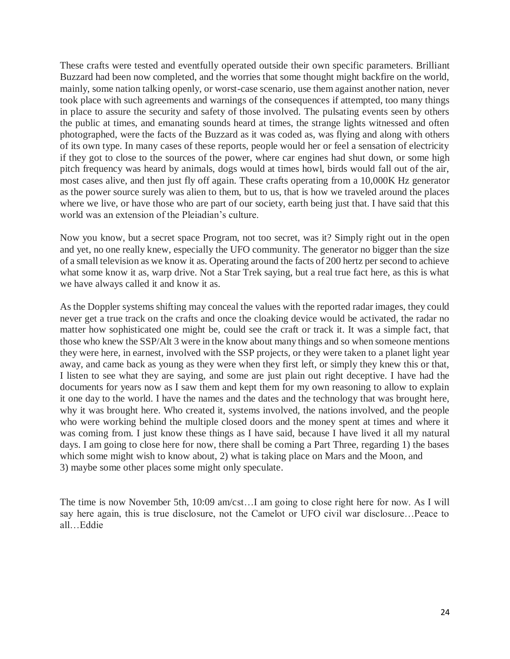These crafts were tested and eventfully operated outside their own specific parameters. Brilliant Buzzard had been now completed, and the worries that some thought might backfire on the world, mainly, some nation talking openly, or worst-case scenario, use them against another nation, never took place with such agreements and warnings of the consequences if attempted, too many things in place to assure the security and safety of those involved. The pulsating events seen by others the public at times, and emanating sounds heard at times, the strange lights witnessed and often photographed, were the facts of the Buzzard as it was coded as, was flying and along with others of its own type. In many cases of these reports, people would her or feel a sensation of electricity if they got to close to the sources of the power, where car engines had shut down, or some high pitch frequency was heard by animals, dogs would at times howl, birds would fall out of the air, most cases alive, and then just fly off again. These crafts operating from a 10,000K Hz generator as the power source surely was alien to them, but to us, that is how we traveled around the places where we live, or have those who are part of our society, earth being just that. I have said that this world was an extension of the Pleiadian's culture.

Now you know, but a secret space Program, not too secret, was it? Simply right out in the open and yet, no one really knew, especially the UFO community. The generator no bigger than the size of a small television as we know it as. Operating around the facts of 200 hertz per second to achieve what some know it as, warp drive. Not a Star Trek saying, but a real true fact here, as this is what we have always called it and know it as.

As the Doppler systems shifting may conceal the values with the reported radar images, they could never get a true track on the crafts and once the cloaking device would be activated, the radar no matter how sophisticated one might be, could see the craft or track it. It was a simple fact, that those who knew the SSP/Alt 3 were in the know about many things and so when someone mentions they were here, in earnest, involved with the SSP projects, or they were taken to a planet light year away, and came back as young as they were when they first left, or simply they knew this or that, I listen to see what they are saying, and some are just plain out right deceptive. I have had the documents for years now as I saw them and kept them for my own reasoning to allow to explain it one day to the world. I have the names and the dates and the technology that was brought here, why it was brought here. Who created it, systems involved, the nations involved, and the people who were working behind the multiple closed doors and the money spent at times and where it was coming from. I just know these things as I have said, because I have lived it all my natural days. I am going to close here for now, there shall be coming a Part Three, regarding 1) the bases which some might wish to know about, 2) what is taking place on Mars and the Moon, and 3) maybe some other places some might only speculate.

The time is now November 5th, 10:09 am/cst…I am going to close right here for now. As I will say here again, this is true disclosure, not the Camelot or UFO civil war disclosure…Peace to all…Eddie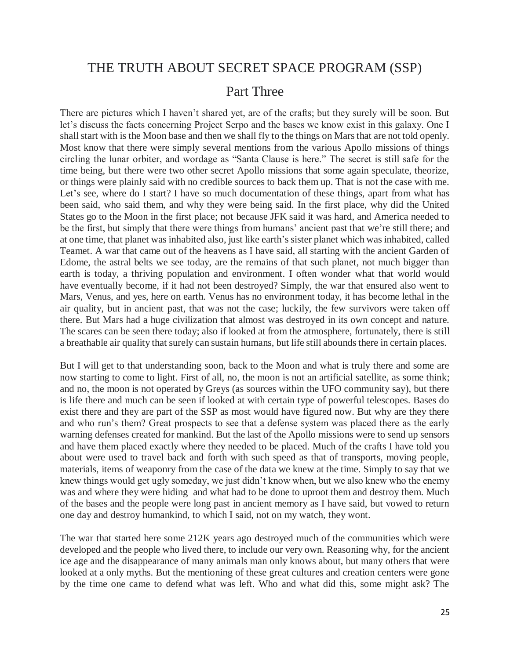# THE TRUTH ABOUT SECRET SPACE PROGRAM (SSP)

#### Part Three

There are pictures which I haven't shared yet, are of the crafts; but they surely will be soon. But let's discuss the facts concerning Project Serpo and the bases we know exist in this galaxy. One I shall start with is the Moon base and then we shall fly to the things on Mars that are not told openly. Most know that there were simply several mentions from the various Apollo missions of things circling the lunar orbiter, and wordage as "Santa Clause is here." The secret is still safe for the time being, but there were two other secret Apollo missions that some again speculate, theorize, or things were plainly said with no credible sources to back them up. That is not the case with me. Let's see, where do I start? I have so much documentation of these things, apart from what has been said, who said them, and why they were being said. In the first place, why did the United States go to the Moon in the first place; not because JFK said it was hard, and America needed to be the first, but simply that there were things from humans' ancient past that we're still there; and at one time, that planet was inhabited also, just like earth's sister planet which was inhabited, called Teamet. A war that came out of the heavens as I have said, all starting with the ancient Garden of Edome, the astral belts we see today, are the remains of that such planet, not much bigger than earth is today, a thriving population and environment. I often wonder what that world would have eventually become, if it had not been destroyed? Simply, the war that ensured also went to Mars, Venus, and yes, here on earth. Venus has no environment today, it has become lethal in the air quality, but in ancient past, that was not the case; luckily, the few survivors were taken off there. But Mars had a huge civilization that almost was destroyed in its own concept and nature. The scares can be seen there today; also if looked at from the atmosphere, fortunately, there is still a breathable air quality that surely can sustain humans, but life still abounds there in certain places.

But I will get to that understanding soon, back to the Moon and what is truly there and some are now starting to come to light. First of all, no, the moon is not an artificial satellite, as some think; and no, the moon is not operated by Greys (as sources within the UFO community say), but there is life there and much can be seen if looked at with certain type of powerful telescopes. Bases do exist there and they are part of the SSP as most would have figured now. But why are they there and who run's them? Great prospects to see that a defense system was placed there as the early warning defenses created for mankind. But the last of the Apollo missions were to send up sensors and have them placed exactly where they needed to be placed. Much of the crafts I have told you about were used to travel back and forth with such speed as that of transports, moving people, materials, items of weaponry from the case of the data we knew at the time. Simply to say that we knew things would get ugly someday, we just didn't know when, but we also knew who the enemy was and where they were hiding and what had to be done to uproot them and destroy them. Much of the bases and the people were long past in ancient memory as I have said, but vowed to return one day and destroy humankind, to which I said, not on my watch, they wont.

The war that started here some 212K years ago destroyed much of the communities which were developed and the people who lived there, to include our very own. Reasoning why, for the ancient ice age and the disappearance of many animals man only knows about, but many others that were looked at a only myths. But the mentioning of these great cultures and creation centers were gone by the time one came to defend what was left. Who and what did this, some might ask? The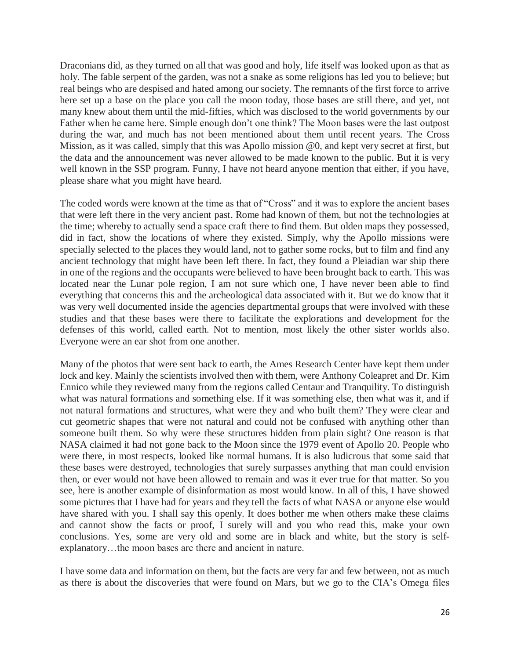Draconians did, as they turned on all that was good and holy, life itself was looked upon as that as holy. The fable serpent of the garden, was not a snake as some religions has led you to believe; but real beings who are despised and hated among our society. The remnants of the first force to arrive here set up a base on the place you call the moon today, those bases are still there, and yet, not many knew about them until the mid-fifties, which was disclosed to the world governments by our Father when he came here. Simple enough don't one think? The Moon bases were the last outpost during the war, and much has not been mentioned about them until recent years. The Cross Mission, as it was called, simply that this was Apollo mission @0, and kept very secret at first, but the data and the announcement was never allowed to be made known to the public. But it is very well known in the SSP program. Funny, I have not heard anyone mention that either, if you have, please share what you might have heard.

The coded words were known at the time as that of "Cross" and it was to explore the ancient bases that were left there in the very ancient past. Rome had known of them, but not the technologies at the time; whereby to actually send a space craft there to find them. But olden maps they possessed, did in fact, show the locations of where they existed. Simply, why the Apollo missions were specially selected to the places they would land, not to gather some rocks, but to film and find any ancient technology that might have been left there. In fact, they found a Pleiadian war ship there in one of the regions and the occupants were believed to have been brought back to earth. This was located near the Lunar pole region, I am not sure which one, I have never been able to find everything that concerns this and the archeological data associated with it. But we do know that it was very well documented inside the agencies departmental groups that were involved with these studies and that these bases were there to facilitate the explorations and development for the defenses of this world, called earth. Not to mention, most likely the other sister worlds also. Everyone were an ear shot from one another.

Many of the photos that were sent back to earth, the Ames Research Center have kept them under lock and key. Mainly the scientists involved then with them, were Anthony Coleapret and Dr. Kim Ennico while they reviewed many from the regions called Centaur and Tranquility. To distinguish what was natural formations and something else. If it was something else, then what was it, and if not natural formations and structures, what were they and who built them? They were clear and cut geometric shapes that were not natural and could not be confused with anything other than someone built them. So why were these structures hidden from plain sight? One reason is that NASA claimed it had not gone back to the Moon since the 1979 event of Apollo 20. People who were there, in most respects, looked like normal humans. It is also ludicrous that some said that these bases were destroyed, technologies that surely surpasses anything that man could envision then, or ever would not have been allowed to remain and was it ever true for that matter. So you see, here is another example of disinformation as most would know. In all of this, I have showed some pictures that I have had for years and they tell the facts of what NASA or anyone else would have shared with you. I shall say this openly. It does bother me when others make these claims and cannot show the facts or proof, I surely will and you who read this, make your own conclusions. Yes, some are very old and some are in black and white, but the story is selfexplanatory…the moon bases are there and ancient in nature.

I have some data and information on them, but the facts are very far and few between, not as much as there is about the discoveries that were found on Mars, but we go to the CIA's Omega files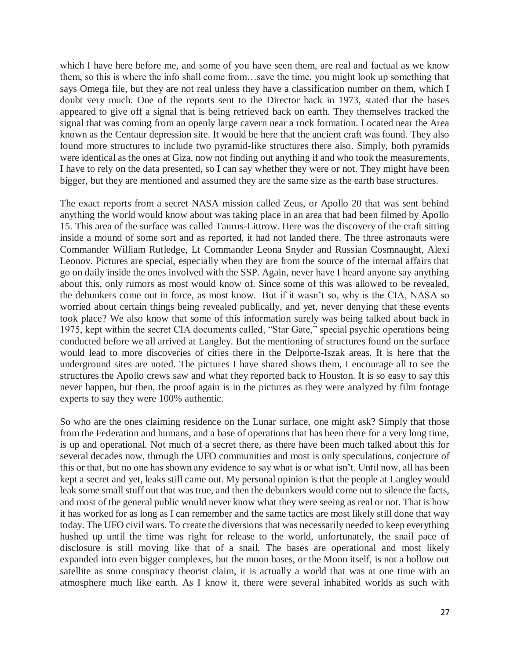which I have here before me, and some of you have seen them, are real and factual as we know them, so this is where the info shall come from…save the time, you might look up something that says Omega file, but they are not real unless they have a classification number on them, which I doubt very much. One of the reports sent to the Director back in 1973, stated that the bases appeared to give off a signal that is being retrieved back on earth. They themselves tracked the signal that was coming from an openly large cavern near a rock formation. Located near the Area known as the Centaur depression site. It would be here that the ancient craft was found. They also found more structures to include two pyramid-like structures there also. Simply, both pyramids were identical as the ones at Giza, now not finding out anything if and who took the measurements, I have to rely on the data presented, so I can say whether they were or not. They might have been bigger, but they are mentioned and assumed they are the same size as the earth base structures.

The exact reports from a secret NASA mission called Zeus, or Apollo 20 that was sent behind anything the world would know about was taking place in an area that had been filmed by Apollo 15. This area of the surface was called Taurus-Littrow. Here was the discovery of the craft sitting inside a mound of some sort and as reported, it had not landed there. The three astronauts were Commander William Rutledge, Lt Commander Leona Snyder and Russian Cosmnaught, Alexi Leonov. Pictures are special, especially when they are from the source of the internal affairs that go on daily inside the ones involved with the SSP. Again, never have I heard anyone say anything about this, only rumors as most would know of. Since some of this was allowed to be revealed, the debunkers come out in force, as most know. But if it wasn't so, why is the CIA, NASA so worried about certain things being revealed publically, and yet, never denying that these events took place? We also know that some of this information surely was being talked about back in 1975, kept within the secret CIA documents called, "Star Gate," special psychic operations being conducted before we all arrived at Langley. But the mentioning of structures found on the surface would lead to more discoveries of cities there in the Delporte-Iszak areas. It is here that the underground sites are noted. The pictures I have shared shows them, I encourage all to see the structures the Apollo crews saw and what they reported back to Houston. It is so easy to say this never happen, but then, the proof again is in the pictures as they were analyzed by film footage experts to say they were 100% authentic.

So who are the ones claiming residence on the Lunar surface, one might ask? Simply that those from the Federation and humans, and a base of operations that has been there for a very long time, is up and operational. Not much of a secret there, as there have been much talked about this for several decades now, through the UFO communities and most is only speculations, conjecture of this or that, but no one has shown any evidence to say what is or what isn't. Until now, all has been kept a secret and yet, leaks still came out. My personal opinion is that the people at Langley would leak some small stuff out that was true, and then the debunkers would come out to silence the facts, and most of the general public would never know what they were seeing as real or not. That is how it has worked for as long as I can remember and the same tactics are most likely still done that way today. The UFO civil wars. To create the diversions that was necessarily needed to keep everything hushed up until the time was right for release to the world, unfortunately, the snail pace of disclosure is still moving like that of a snail. The bases are operational and most likely expanded into even bigger complexes, but the moon bases, or the Moon itself, is not a hollow out satellite as some conspiracy theorist claim, it is actually a world that was at one time with an atmosphere much like earth. As I know it, there were several inhabited worlds as such with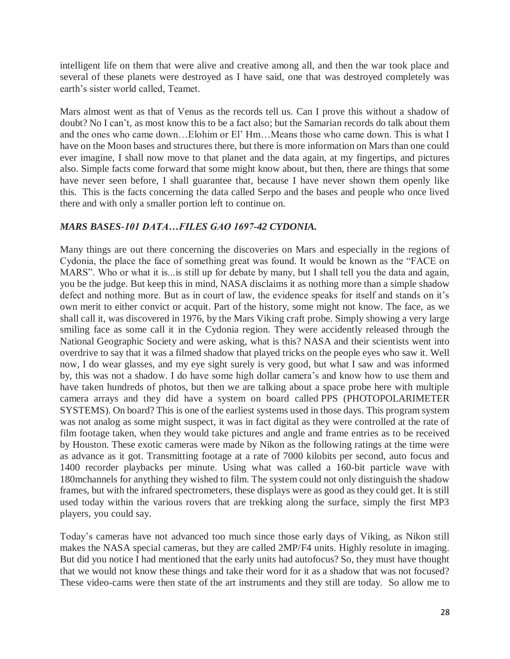intelligent life on them that were alive and creative among all, and then the war took place and several of these planets were destroyed as I have said, one that was destroyed completely was earth's sister world called, Teamet.

Mars almost went as that of Venus as the records tell us. Can I prove this without a shadow of doubt? No I can't, as most know this to be a fact also; but the Samarian records do talk about them and the ones who came down…Elohim or El' Hm…Means those who came down. This is what I have on the Moon bases and structures there, but there is more information on Mars than one could ever imagine, I shall now move to that planet and the data again, at my fingertips, and pictures also. Simple facts come forward that some might know about, but then, there are things that some have never seen before, I shall guarantee that, because I have never shown them openly like this. This is the facts concerning the data called Serpo and the bases and people who once lived there and with only a smaller portion left to continue on.

#### *MARS BASES-101 DATA…FILES GAO 1697-42 CYDONIA.*

Many things are out there concerning the discoveries on Mars and especially in the regions of Cydonia, the place the face of something great was found. It would be known as the "FACE on MARS". Who or what it is... is still up for debate by many, but I shall tell you the data and again, you be the judge. But keep this in mind, NASA disclaims it as nothing more than a simple shadow defect and nothing more. But as in court of law, the evidence speaks for itself and stands on it's own merit to either convict or acquit. Part of the history, some might not know. The face, as we shall call it, was discovered in 1976, by the Mars Viking craft probe. Simply showing a very large smiling face as some call it in the Cydonia region. They were accidently released through the National Geographic Society and were asking, what is this? NASA and their scientists went into overdrive to say that it was a filmed shadow that played tricks on the people eyes who saw it. Well now, I do wear glasses, and my eye sight surely is very good, but what I saw and was informed by, this was not a shadow. I do have some high dollar camera's and know how to use them and have taken hundreds of photos, but then we are talking about a space probe here with multiple camera arrays and they did have a system on board called PPS (PHOTOPOLARIMETER SYSTEMS). On board? This is one of the earliest systems used in those days. This program system was not analog as some might suspect, it was in fact digital as they were controlled at the rate of film footage taken, when they would take pictures and angle and frame entries as to be received by Houston. These exotic cameras were made by Nikon as the following ratings at the time were as advance as it got. Transmitting footage at a rate of 7000 kilobits per second, auto focus and 1400 recorder playbacks per minute. Using what was called a 160-bit particle wave with 180mchannels for anything they wished to film. The system could not only distinguish the shadow frames, but with the infrared spectrometers, these displays were as good as they could get. It is still used today within the various rovers that are trekking along the surface, simply the first MP3 players, you could say.

Today's cameras have not advanced too much since those early days of Viking, as Nikon still makes the NASA special cameras, but they are called 2MP/F4 units. Highly resolute in imaging. But did you notice I had mentioned that the early units had autofocus? So, they must have thought that we would not know these things and take their word for it as a shadow that was not focused? These video-cams were then state of the art instruments and they still are today. So allow me to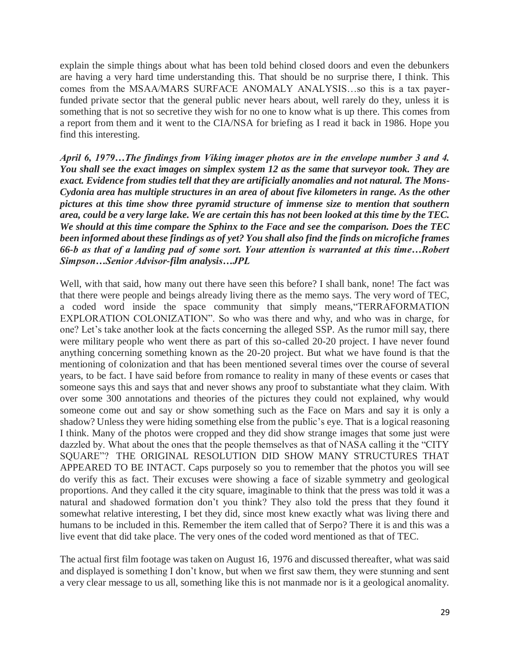explain the simple things about what has been told behind closed doors and even the debunkers are having a very hard time understanding this. That should be no surprise there, I think. This comes from the MSAA/MARS SURFACE ANOMALY ANALYSIS…so this is a tax payerfunded private sector that the general public never hears about, well rarely do they, unless it is something that is not so secretive they wish for no one to know what is up there. This comes from a report from them and it went to the CIA/NSA for briefing as I read it back in 1986. Hope you find this interesting.

*April 6, 1979…The findings from Viking imager photos are in the envelope number 3 and 4. You shall see the exact images on simplex system 12 as the same that surveyor took. They are exact. Evidence from studies tell that they are artificially anomalies and not natural. The Mons-Cydonia area has multiple structures in an area of about five kilometers in range. As the other pictures at this time show three pyramid structure of immense size to mention that southern area, could be a very large lake. We are certain this has not been looked at this time by the TEC. We should at this time compare the Sphinx to the Face and see the comparison. Does the TEC been informed about these findings as of yet? You shall also find the finds on microfiche frames 66-b as that of a landing pad of some sort. Your attention is warranted at this time…Robert Simpson…Senior Advisor-film analysis…JPL*

Well, with that said, how many out there have seen this before? I shall bank, none! The fact was that there were people and beings already living there as the memo says. The very word of TEC, a coded word inside the space community that simply means,"TERRAFORMATION EXPLORATION COLONIZATION". So who was there and why, and who was in charge, for one? Let's take another look at the facts concerning the alleged SSP. As the rumor mill say, there were military people who went there as part of this so-called 20-20 project. I have never found anything concerning something known as the 20-20 project. But what we have found is that the mentioning of colonization and that has been mentioned several times over the course of several years, to be fact. I have said before from romance to reality in many of these events or cases that someone says this and says that and never shows any proof to substantiate what they claim. With over some 300 annotations and theories of the pictures they could not explained, why would someone come out and say or show something such as the Face on Mars and say it is only a shadow? Unless they were hiding something else from the public's eye. That is a logical reasoning I think. Many of the photos were cropped and they did show strange images that some just were dazzled by. What about the ones that the people themselves as that of NASA calling it the "CITY SQUARE"? THE ORIGINAL RESOLUTION DID SHOW MANY STRUCTURES THAT APPEARED TO BE INTACT. Caps purposely so you to remember that the photos you will see do verify this as fact. Their excuses were showing a face of sizable symmetry and geological proportions. And they called it the city square, imaginable to think that the press was told it was a natural and shadowed formation don't you think? They also told the press that they found it somewhat relative interesting, I bet they did, since most knew exactly what was living there and humans to be included in this. Remember the item called that of Serpo? There it is and this was a live event that did take place. The very ones of the coded word mentioned as that of TEC.

The actual first film footage was taken on August 16, 1976 and discussed thereafter, what was said and displayed is something I don't know, but when we first saw them, they were stunning and sent a very clear message to us all, something like this is not manmade nor is it a geological anomality.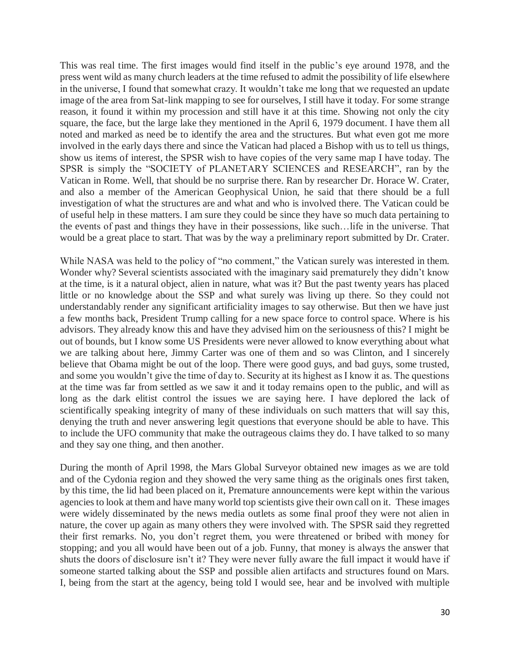This was real time. The first images would find itself in the public's eye around 1978, and the press went wild as many church leaders at the time refused to admit the possibility of life elsewhere in the universe, I found that somewhat crazy. It wouldn't take me long that we requested an update image of the area from Sat-link mapping to see for ourselves, I still have it today. For some strange reason, it found it within my procession and still have it at this time. Showing not only the city square, the face, but the large lake they mentioned in the April 6, 1979 document. I have them all noted and marked as need be to identify the area and the structures. But what even got me more involved in the early days there and since the Vatican had placed a Bishop with us to tell us things, show us items of interest, the SPSR wish to have copies of the very same map I have today. The SPSR is simply the "SOCIETY of PLANETARY SCIENCES and RESEARCH", ran by the Vatican in Rome. Well, that should be no surprise there. Ran by researcher Dr. Horace W. Crater, and also a member of the American Geophysical Union, he said that there should be a full investigation of what the structures are and what and who is involved there. The Vatican could be of useful help in these matters. I am sure they could be since they have so much data pertaining to the events of past and things they have in their possessions, like such…life in the universe. That would be a great place to start. That was by the way a preliminary report submitted by Dr. Crater.

While NASA was held to the policy of "no comment," the Vatican surely was interested in them. Wonder why? Several scientists associated with the imaginary said prematurely they didn't know at the time, is it a natural object, alien in nature, what was it? But the past twenty years has placed little or no knowledge about the SSP and what surely was living up there. So they could not understandably render any significant artificiality images to say otherwise. But then we have just a few months back, President Trump calling for a new space force to control space. Where is his advisors. They already know this and have they advised him on the seriousness of this? I might be out of bounds, but I know some US Presidents were never allowed to know everything about what we are talking about here, Jimmy Carter was one of them and so was Clinton, and I sincerely believe that Obama might be out of the loop. There were good guys, and bad guys, some trusted, and some you wouldn't give the time of day to. Security at its highest as I know it as. The questions at the time was far from settled as we saw it and it today remains open to the public, and will as long as the dark elitist control the issues we are saying here. I have deplored the lack of scientifically speaking integrity of many of these individuals on such matters that will say this, denying the truth and never answering legit questions that everyone should be able to have. This to include the UFO community that make the outrageous claims they do. I have talked to so many and they say one thing, and then another.

During the month of April 1998, the Mars Global Surveyor obtained new images as we are told and of the Cydonia region and they showed the very same thing as the originals ones first taken, by this time, the lid had been placed on it, Premature announcements were kept within the various agencies to look at them and have many world top scientists give their own call on it. These images were widely disseminated by the news media outlets as some final proof they were not alien in nature, the cover up again as many others they were involved with. The SPSR said they regretted their first remarks. No, you don't regret them, you were threatened or bribed with money for stopping; and you all would have been out of a job. Funny, that money is always the answer that shuts the doors of disclosure isn't it? They were never fully aware the full impact it would have if someone started talking about the SSP and possible alien artifacts and structures found on Mars. I, being from the start at the agency, being told I would see, hear and be involved with multiple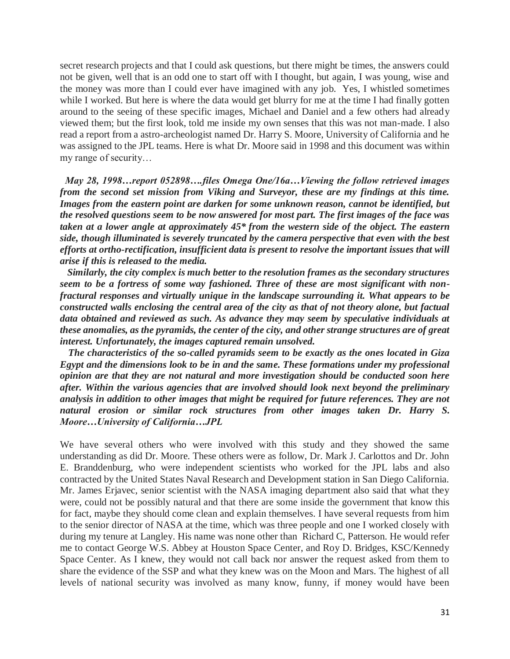secret research projects and that I could ask questions, but there might be times, the answers could not be given, well that is an odd one to start off with I thought, but again, I was young, wise and the money was more than I could ever have imagined with any job. Yes, I whistled sometimes while I worked. But here is where the data would get blurry for me at the time I had finally gotten around to the seeing of these specific images, Michael and Daniel and a few others had already viewed them; but the first look, told me inside my own senses that this was not man-made. I also read a report from a astro-archeologist named Dr. Harry S. Moore, University of California and he was assigned to the JPL teams. Here is what Dr. Moore said in 1998 and this document was within my range of security…

 *May 28, 1998…report 052898….files Omega One/16a…Viewing the follow retrieved images from the second set mission from Viking and Surveyor, these are my findings at this time.*  Images from the eastern point are darken for some unknown reason, cannot be identified, but *the resolved questions seem to be now answered for most part. The first images of the face was taken at a lower angle at approximately 45\* from the western side of the object. The eastern side, though illuminated is severely truncated by the camera perspective that even with the best efforts at ortho-rectification, insufficient data is present to resolve the important issues that will arise if this is released to the media.*

 *Similarly, the city complex is much better to the resolution frames as the secondary structures seem to be a fortress of some way fashioned. Three of these are most significant with nonfractural responses and virtually unique in the landscape surrounding it. What appears to be constructed walls enclosing the central area of the city as that of not theory alone, but factual data obtained and reviewed as such. As advance they may seem by speculative individuals at these anomalies, as the pyramids, the center of the city, and other strange structures are of great interest. Unfortunately, the images captured remain unsolved.*

 *The characteristics of the so-called pyramids seem to be exactly as the ones located in Giza Egypt and the dimensions look to be in and the same. These formations under my professional opinion are that they are not natural and more investigation should be conducted soon here after. Within the various agencies that are involved should look next beyond the preliminary analysis in addition to other images that might be required for future references. They are not natural erosion or similar rock structures from other images taken Dr. Harry S. Moore…University of California…JPL*

We have several others who were involved with this study and they showed the same understanding as did Dr. Moore. These others were as follow, Dr. Mark J. Carlottos and Dr. John E. Branddenburg, who were independent scientists who worked for the JPL labs and also contracted by the United States Naval Research and Development station in San Diego California. Mr. James Erjavec, senior scientist with the NASA imaging department also said that what they were, could not be possibly natural and that there are some inside the government that know this for fact, maybe they should come clean and explain themselves. I have several requests from him to the senior director of NASA at the time, which was three people and one I worked closely with during my tenure at Langley. His name was none other than Richard C, Patterson. He would refer me to contact George W.S. Abbey at Houston Space Center, and Roy D. Bridges, KSC/Kennedy Space Center. As I knew, they would not call back nor answer the request asked from them to share the evidence of the SSP and what they knew was on the Moon and Mars. The highest of all levels of national security was involved as many know, funny, if money would have been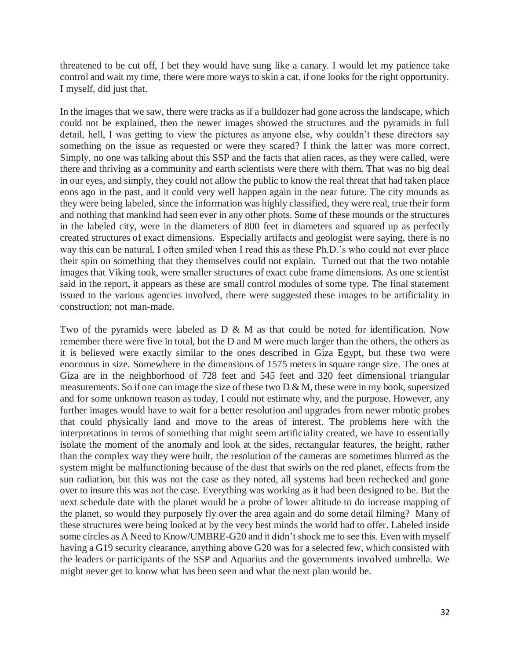threatened to be cut off, I bet they would have sung like a canary. I would let my patience take control and wait my time, there were more ways to skin a cat, if one looks for the right opportunity. I myself, did just that.

In the images that we saw, there were tracks as if a bulldozer had gone across the landscape, which could not be explained, then the newer images showed the structures and the pyramids in full detail, hell, I was getting to view the pictures as anyone else, why couldn't these directors say something on the issue as requested or were they scared? I think the latter was more correct. Simply, no one was talking about this SSP and the facts that alien races, as they were called, were there and thriving as a community and earth scientists were there with them. That was no big deal in our eyes, and simply, they could not allow the public to know the real threat that had taken place eons ago in the past, and it could very well happen again in the near future. The city mounds as they were being labeled, since the information was highly classified, they were real, true their form and nothing that mankind had seen ever in any other phots. Some of these mounds or the structures in the labeled city, were in the diameters of 800 feet in diameters and squared up as perfectly created structures of exact dimensions. Especially artifacts and geologist were saying, there is no way this can be natural, I often smiled when I read this as these Ph.D.'s who could not ever place their spin on something that they themselves could not explain. Turned out that the two notable images that Viking took, were smaller structures of exact cube frame dimensions. As one scientist said in the report, it appears as these are small control modules of some type. The final statement issued to the various agencies involved, there were suggested these images to be artificiality in construction; not man-made.

Two of the pyramids were labeled as  $D \& M$  as that could be noted for identification. Now remember there were five in total, but the D and M were much larger than the others, the others as it is believed were exactly similar to the ones described in Giza Egypt, but these two were enormous in size. Somewhere in the dimensions of 1575 meters in square range size. The ones at Giza are in the neighborhood of 728 feet and 545 feet and 320 feet dimensional triangular measurements. So if one can image the size of these two D & M, these were in my book, supersized and for some unknown reason as today, I could not estimate why, and the purpose. However, any further images would have to wait for a better resolution and upgrades from newer robotic probes that could physically land and move to the areas of interest. The problems here with the interpretations in terms of something that might seem artificiality created, we have to essentially isolate the moment of the anomaly and look at the sides, rectangular features, the height, rather than the complex way they were built, the resolution of the cameras are sometimes blurred as the system might be malfunctioning because of the dust that swirls on the red planet, effects from the sun radiation, but this was not the case as they noted, all systems had been rechecked and gone over to insure this was not the case. Everything was working as it had been designed to be. But the next schedule date with the planet would be a probe of lower altitude to do increase mapping of the planet, so would they purposely fly over the area again and do some detail filming? Many of these structures were being looked at by the very best minds the world had to offer. Labeled inside some circles as A Need to Know/UMBRE-G20 and it didn't shock me to see this. Even with myself having a G19 security clearance, anything above G20 was for a selected few, which consisted with the leaders or participants of the SSP and Aquarius and the governments involved umbrella. We might never get to know what has been seen and what the next plan would be.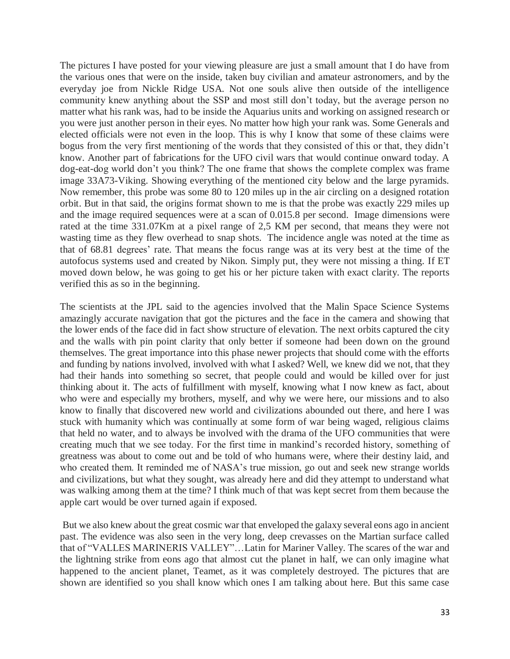The pictures I have posted for your viewing pleasure are just a small amount that I do have from the various ones that were on the inside, taken buy civilian and amateur astronomers, and by the everyday joe from Nickle Ridge USA. Not one souls alive then outside of the intelligence community knew anything about the SSP and most still don't today, but the average person no matter what his rank was, had to be inside the Aquarius units and working on assigned research or you were just another person in their eyes. No matter how high your rank was. Some Generals and elected officials were not even in the loop. This is why I know that some of these claims were bogus from the very first mentioning of the words that they consisted of this or that, they didn't know. Another part of fabrications for the UFO civil wars that would continue onward today. A dog-eat-dog world don't you think? The one frame that shows the complete complex was frame image 33A73-Viking. Showing everything of the mentioned city below and the large pyramids. Now remember, this probe was some 80 to 120 miles up in the air circling on a designed rotation orbit. But in that said, the origins format shown to me is that the probe was exactly 229 miles up and the image required sequences were at a scan of 0.015.8 per second. Image dimensions were rated at the time 331.07Km at a pixel range of 2,5 KM per second, that means they were not wasting time as they flew overhead to snap shots. The incidence angle was noted at the time as that of 68.81 degrees' rate. That means the focus range was at its very best at the time of the autofocus systems used and created by Nikon. Simply put, they were not missing a thing. If ET moved down below, he was going to get his or her picture taken with exact clarity. The reports verified this as so in the beginning.

The scientists at the JPL said to the agencies involved that the Malin Space Science Systems amazingly accurate navigation that got the pictures and the face in the camera and showing that the lower ends of the face did in fact show structure of elevation. The next orbits captured the city and the walls with pin point clarity that only better if someone had been down on the ground themselves. The great importance into this phase newer projects that should come with the efforts and funding by nations involved, involved with what I asked? Well, we knew did we not, that they had their hands into something so secret, that people could and would be killed over for just thinking about it. The acts of fulfillment with myself, knowing what I now knew as fact, about who were and especially my brothers, myself, and why we were here, our missions and to also know to finally that discovered new world and civilizations abounded out there, and here I was stuck with humanity which was continually at some form of war being waged, religious claims that held no water, and to always be involved with the drama of the UFO communities that were creating much that we see today. For the first time in mankind's recorded history, something of greatness was about to come out and be told of who humans were, where their destiny laid, and who created them. It reminded me of NASA's true mission, go out and seek new strange worlds and civilizations, but what they sought, was already here and did they attempt to understand what was walking among them at the time? I think much of that was kept secret from them because the apple cart would be over turned again if exposed.

But we also knew about the great cosmic war that enveloped the galaxy several eons ago in ancient past. The evidence was also seen in the very long, deep crevasses on the Martian surface called that of "VALLES MARINERIS VALLEY"…Latin for Mariner Valley. The scares of the war and the lightning strike from eons ago that almost cut the planet in half, we can only imagine what happened to the ancient planet, Teamet, as it was completely destroyed. The pictures that are shown are identified so you shall know which ones I am talking about here. But this same case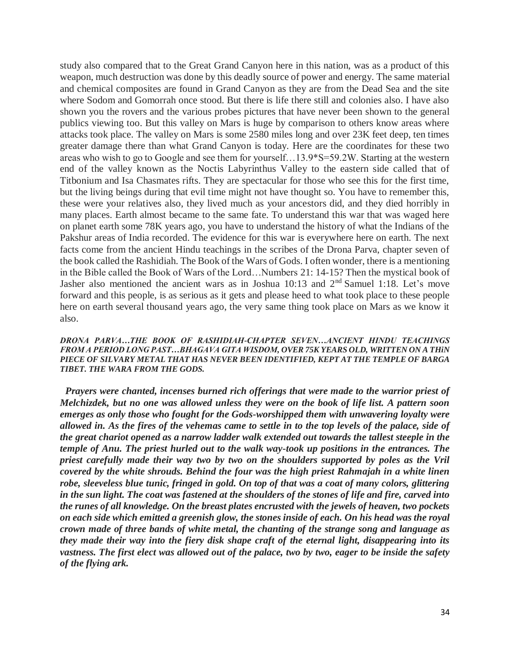study also compared that to the Great Grand Canyon here in this nation, was as a product of this weapon, much destruction was done by this deadly source of power and energy. The same material and chemical composites are found in Grand Canyon as they are from the Dead Sea and the site where Sodom and Gomorrah once stood. But there is life there still and colonies also. I have also shown you the rovers and the various probes pictures that have never been shown to the general publics viewing too. But this valley on Mars is huge by comparison to others know areas where attacks took place. The valley on Mars is some 2580 miles long and over 23K feet deep, ten times greater damage there than what Grand Canyon is today. Here are the coordinates for these two areas who wish to go to Google and see them for yourself…13.9\*S=59.2W. Starting at the western end of the valley known as the Noctis Labyrinthus Valley to the eastern side called that of Titbonium and Isa Chasmates rifts. They are spectacular for those who see this for the first time, but the living beings during that evil time might not have thought so. You have to remember this, these were your relatives also, they lived much as your ancestors did, and they died horribly in many places. Earth almost became to the same fate. To understand this war that was waged here on planet earth some 78K years ago, you have to understand the history of what the Indians of the Pakshur areas of India recorded. The evidence for this war is everywhere here on earth. The next facts come from the ancient Hindu teachings in the scribes of the Drona Parva, chapter seven of the book called the Rashidiah. The Book of the Wars of Gods. I often wonder, there is a mentioning in the Bible called the Book of Wars of the Lord…Numbers 21: 14-15? Then the mystical book of Jasher also mentioned the ancient wars as in Joshua 10:13 and 2nd Samuel 1:18. Let's move forward and this people, is as serious as it gets and please heed to what took place to these people here on earth several thousand years ago, the very same thing took place on Mars as we know it also.

*DRONA PARVA…THE BOOK OF RASHIDIAH-CHAPTER SEVEN…ANCIENT HINDU TEACHINGS FROM A PERIOD LONG PAST…BHAGAVA GITA WISDOM, OVER 75K YEARS OLD, WRITTEN ON A THiN PIECE OF SILVARY METAL THAT HAS NEVER BEEN IDENTIFIED, KEPT AT THE TEMPLE OF BARGA TIBET. THE WARA FROM THE GODS.*

*Prayers were chanted, incenses burned rich offerings that were made to the warrior priest of Melchizdek, but no one was allowed unless they were on the book of life list. A pattern soon emerges as only those who fought for the Gods-worshipped them with unwavering loyalty were allowed in. As the fires of the vehemas came to settle in to the top levels of the palace, side of the great chariot opened as a narrow ladder walk extended out towards the tallest steeple in the temple of Anu. The priest hurled out to the walk way-took up positions in the entrances. The priest carefully made their way two by two on the shoulders supported by poles as the Vril covered by the white shrouds. Behind the four was the high priest Rahmajah in a white linen robe, sleeveless blue tunic, fringed in gold. On top of that was a coat of many colors, glittering in the sun light. The coat was fastened at the shoulders of the stones of life and fire, carved into the runes of all knowledge. On the breast plates encrusted with the jewels of heaven, two pockets on each side which emitted a greenish glow, the stones inside of each. On his head was the royal crown made of three bands of white metal, the chanting of the strange song and language as they made their way into the fiery disk shape craft of the eternal light, disappearing into its vastness. The first elect was allowed out of the palace, two by two, eager to be inside the safety of the flying ark.*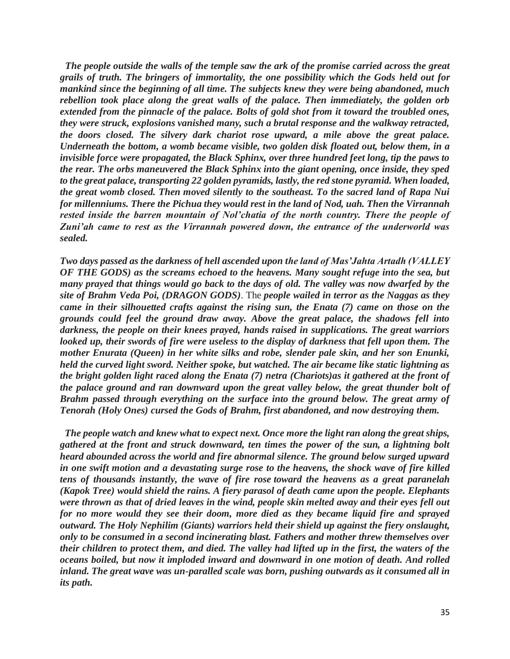*The people outside the walls of the temple saw the ark of the promise carried across the great grails of truth. The bringers of immortality, the one possibility which the Gods held out for mankind since the beginning of all time. The subjects knew they were being abandoned, much*  rebellion took place along the great walls of the palace. Then immediately, the golden orb *extended from the pinnacle of the palace. Bolts of gold shot from it toward the troubled ones, they were struck, explosions vanished many, such a brutal response and the walkway retracted, the doors closed. The silvery dark chariot rose upward, a mile above the great palace. Underneath the bottom, a womb became visible, two golden disk floated out, below them, in a invisible force were propagated, the Black Sphinx, over three hundred feet long, tip the paws to the rear. The orbs maneuvered the Black Sphinx into the giant opening, once inside, they sped to the great palace, transporting 22 golden pyramids, lastly, the red stone pyramid. When loaded, the great womb closed. Then moved silently to the southeast. To the sacred land of Rapa Nui for millenniums. There the Pichua they would rest in the land of Nod, uah. Then the Virrannah rested inside the barren mountain of Nol'chatia of the north country. There the people of Zuni'ah came to rest as the Virrannah powered down, the entrance of the underworld was sealed.*

*Two days passed as the darkness of hell ascended upon the land of Mas'Jahta Artadh (VALLEY OF THE GODS) as the screams echoed to the heavens. Many sought refuge into the sea, but many prayed that things would go back to the days of old. The valley was now dwarfed by the site of Brahm Veda Poi, (DRAGON GODS)*. The *people wailed in terror as the Naggas as they came in their silhouetted crafts against the rising sun, the Enata (7) came on those on the grounds could feel the ground draw away. Above the great palace, the shadows fell into darkness, the people on their knees prayed, hands raised in supplications. The great warriors looked up, their swords of fire were useless to the display of darkness that fell upon them. The mother Enurata (Queen) in her white silks and robe, slender pale skin, and her son Enunki, held the curved light sword. Neither spoke, but watched. The air became like static lightning as the bright golden light raced along the Enata (7) netra (Chariots)as it gathered at the front of the palace ground and ran downward upon the great valley below, the great thunder bolt of Brahm passed through everything on the surface into the ground below. The great army of Tenorah (Holy Ones) cursed the Gods of Brahm, first abandoned, and now destroying them.*

*The people watch and knew what to expect next. Once more the light ran along the great ships, gathered at the front and struck downward, ten times the power of the sun, a lightning bolt heard abounded across the world and fire abnormal silence. The ground below surged upward in one swift motion and a devastating surge rose to the heavens, the shock wave of fire killed tens of thousands instantly, the wave of fire rose toward the heavens as a great paranelah (Kapok Tree) would shield the rains. A fiery parasol of death came upon the people. Elephants were thrown as that of dried leaves in the wind, people skin melted away and their eyes fell out for no more would they see their doom, more died as they became liquid fire and sprayed outward. The Holy Nephilim (Giants) warriors held their shield up against the fiery onslaught, only to be consumed in a second incinerating blast. Fathers and mother threw themselves over their children to protect them, and died. The valley had lifted up in the first, the waters of the oceans boiled, but now it imploded inward and downward in one motion of death. And rolled inland. The great wave was un-paralled scale was born, pushing outwards as it consumed all in its path.*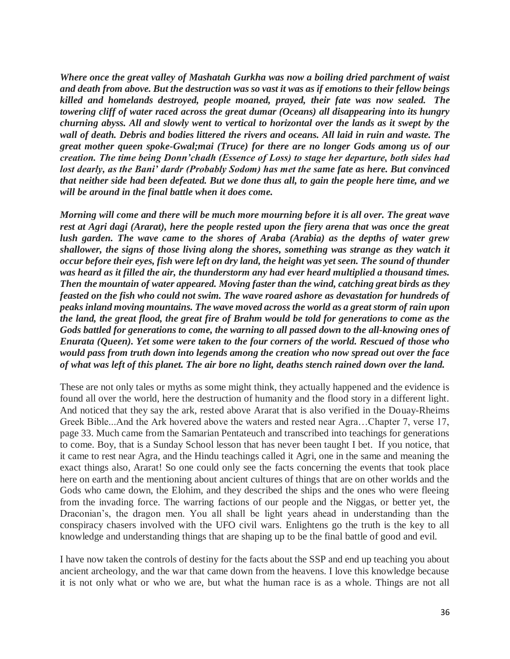*Where once the great valley of Mashatah Gurkha was now a boiling dried parchment of waist and death from above. But the destruction was so vast it was as if emotions to their fellow beings killed and homelands destroyed, people moaned, prayed, their fate was now sealed. The towering cliff of water raced across the great dumar (Oceans) all disappearing into its hungry churning abyss. All and slowly went to vertical to horizontal over the lands as it swept by the wall of death. Debris and bodies littered the rivers and oceans. All laid in ruin and waste. The great mother queen spoke-Gwal;mai (Truce) for there are no longer Gods among us of our creation. The time being Donn'chadh (Essence of Loss) to stage her departure, both sides had lost dearly, as the Bani' dardr (Probably Sodom) has met the same fate as here. But convinced that neither side had been defeated. But we done thus all, to gain the people here time, and we will be around in the final battle when it does come.*

*Morning will come and there will be much more mourning before it is all over. The great wave rest at Agri dagi (Ararat), here the people rested upon the fiery arena that was once the great lush garden. The wave came to the shores of Araba (Arabia) as the depths of water grew shallower, the signs of those living along the shores, something was strange as they watch it occur before their eyes, fish were left on dry land, the height was yet seen. The sound of thunder was heard as it filled the air, the thunderstorm any had ever heard multiplied a thousand times. Then the mountain of water appeared. Moving faster than the wind, catching great birds as they feasted on the fish who could not swim. The wave roared ashore as devastation for hundreds of peaks inland moving mountains. The wave moved across the world as a great storm of rain upon the land, the great flood, the great fire of Brahm would be told for generations to come as the Gods battled for generations to come, the warning to all passed down to the all-knowing ones of Enurata (Queen). Yet some were taken to the four corners of the world. Rescued of those who would pass from truth down into legends among the creation who now spread out over the face of what was left of this planet. The air bore no light, deaths stench rained down over the land.*

These are not only tales or myths as some might think, they actually happened and the evidence is found all over the world, here the destruction of humanity and the flood story in a different light. And noticed that they say the ark, rested above Ararat that is also verified in the Douay-Rheims Greek Bible...And the Ark hovered above the waters and rested near Agra…Chapter 7, verse 17, page 33. Much came from the Samarian Pentateuch and transcribed into teachings for generations to come. Boy, that is a Sunday School lesson that has never been taught I bet. If you notice, that it came to rest near Agra, and the Hindu teachings called it Agri, one in the same and meaning the exact things also, Ararat! So one could only see the facts concerning the events that took place here on earth and the mentioning about ancient cultures of things that are on other worlds and the Gods who came down, the Elohim, and they described the ships and the ones who were fleeing from the invading force. The warring factions of our people and the Niggas, or better yet, the Draconian's, the dragon men. You all shall be light years ahead in understanding than the conspiracy chasers involved with the UFO civil wars. Enlightens go the truth is the key to all knowledge and understanding things that are shaping up to be the final battle of good and evil.

I have now taken the controls of destiny for the facts about the SSP and end up teaching you about ancient archeology, and the war that came down from the heavens. I love this knowledge because it is not only what or who we are, but what the human race is as a whole. Things are not all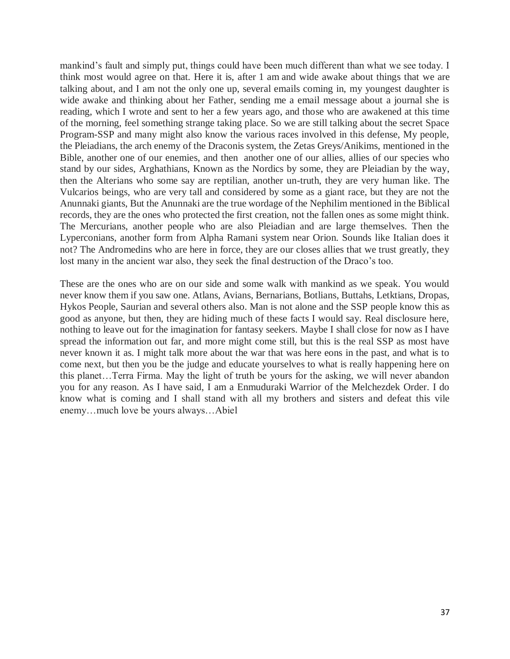mankind's fault and simply put, things could have been much different than what we see today. I think most would agree on that. Here it is, after 1 am and wide awake about things that we are talking about, and I am not the only one up, several emails coming in, my youngest daughter is wide awake and thinking about her Father, sending me a email message about a journal she is reading, which I wrote and sent to her a few years ago, and those who are awakened at this time of the morning, feel something strange taking place. So we are still talking about the secret Space Program-SSP and many might also know the various races involved in this defense, My people, the Pleiadians, the arch enemy of the Draconis system, the Zetas Greys/Anikims, mentioned in the Bible, another one of our enemies, and then another one of our allies, allies of our species who stand by our sides, Arghathians, Known as the Nordics by some, they are Pleiadian by the way, then the Alterians who some say are reptilian, another un-truth, they are very human like. The Vulcarios beings, who are very tall and considered by some as a giant race, but they are not the Anunnaki giants, But the Anunnaki are the true wordage of the Nephilim mentioned in the Biblical records, they are the ones who protected the first creation, not the fallen ones as some might think. The Mercurians, another people who are also Pleiadian and are large themselves. Then the Lyperconians, another form from Alpha Ramani system near Orion. Sounds like Italian does it not? The Andromedins who are here in force, they are our closes allies that we trust greatly, they lost many in the ancient war also, they seek the final destruction of the Draco's too.

These are the ones who are on our side and some walk with mankind as we speak. You would never know them if you saw one. Atlans, Avians, Bernarians, Botlians, Buttahs, Letktians, Dropas, Hykos People, Saurian and several others also. Man is not alone and the SSP people know this as good as anyone, but then, they are hiding much of these facts I would say. Real disclosure here, nothing to leave out for the imagination for fantasy seekers. Maybe I shall close for now as I have spread the information out far, and more might come still, but this is the real SSP as most have never known it as. I might talk more about the war that was here eons in the past, and what is to come next, but then you be the judge and educate yourselves to what is really happening here on this planet…Terra Firma. May the light of truth be yours for the asking, we will never abandon you for any reason. As I have said, I am a Enmuduraki Warrior of the Melchezdek Order. I do know what is coming and I shall stand with all my brothers and sisters and defeat this vile enemy…much love be yours always…Abiel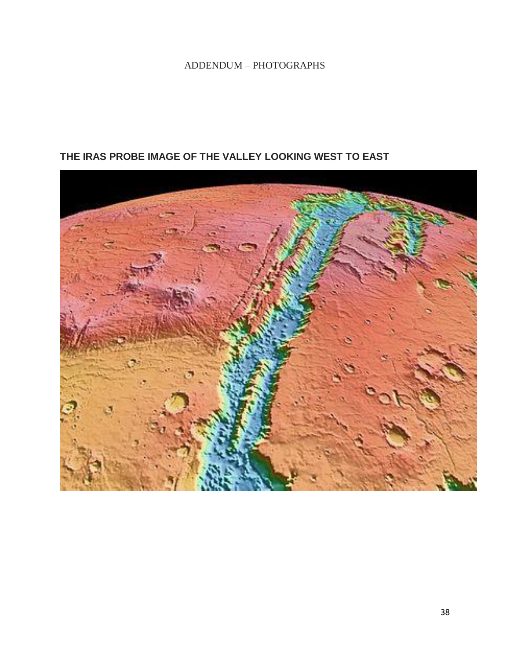#### ADDENDUM – PHOTOGRAPHS

#### **THE IRAS PROBE IMAGE OF THE VALLEY LOOKING WEST TO EAST**

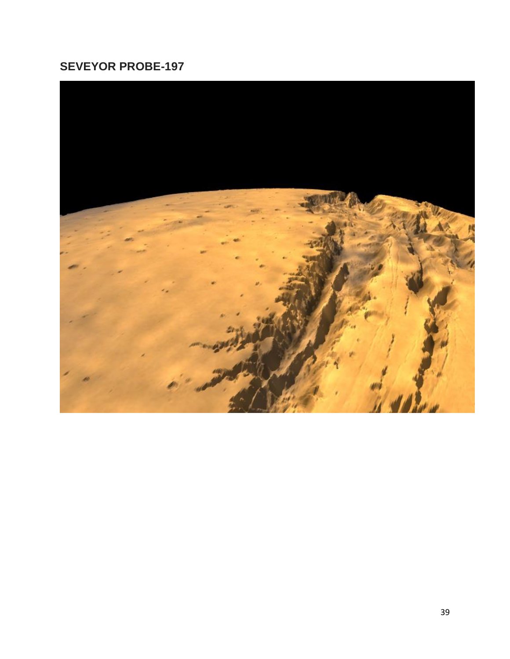# **SEVEYOR PROBE-197**